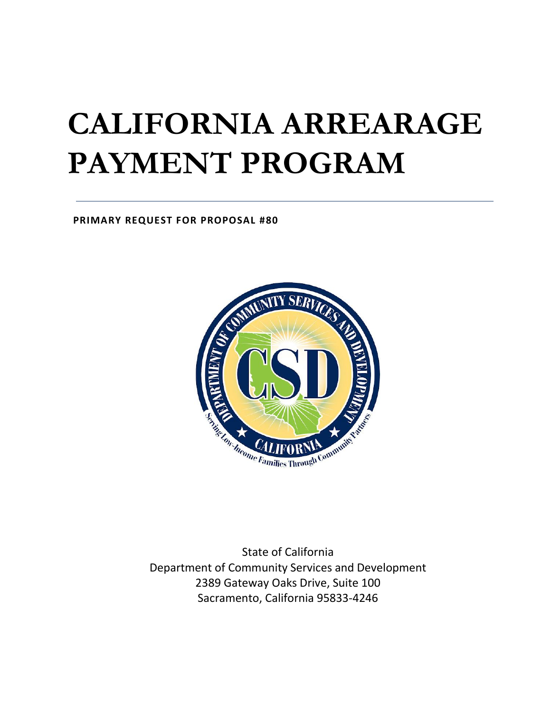# **CALIFORNIA ARREARAGE PAYMENT PROGRAM**

**PRIMARY REQUEST FOR PROPOSAL #80**



State of California Department of Community Services and Development 2389 Gateway Oaks Drive, Suite 100 Sacramento, California 95833-4246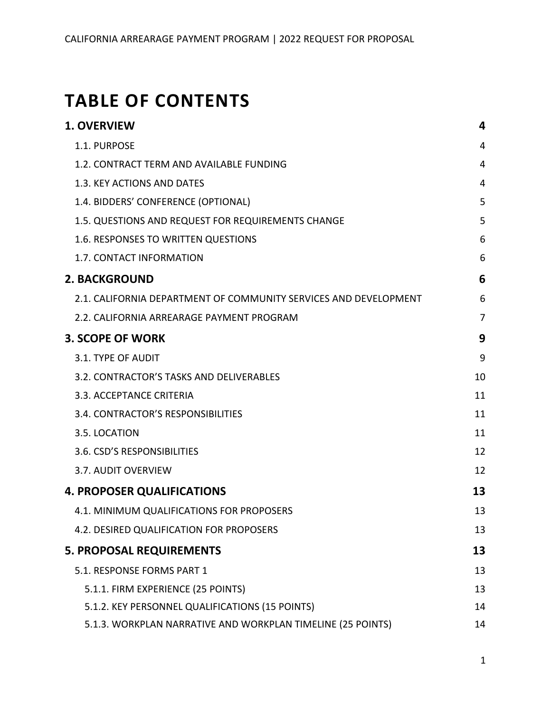## **TABLE OF CONTENTS**

| <b>1. OVERVIEW</b>                                               | 4  |
|------------------------------------------------------------------|----|
| 1.1. PURPOSE                                                     | 4  |
| 1.2. CONTRACT TERM AND AVAILABLE FUNDING                         | 4  |
| 1.3. KEY ACTIONS AND DATES                                       | 4  |
| 1.4. BIDDERS' CONFERENCE (OPTIONAL)                              | 5  |
| 1.5. QUESTIONS AND REQUEST FOR REQUIREMENTS CHANGE               | 5  |
| 1.6. RESPONSES TO WRITTEN QUESTIONS                              | 6  |
| 1.7. CONTACT INFORMATION                                         | 6  |
| <b>2. BACKGROUND</b>                                             | 6  |
| 2.1. CALIFORNIA DEPARTMENT OF COMMUNITY SERVICES AND DEVELOPMENT | 6  |
| 2.2. CALIFORNIA ARREARAGE PAYMENT PROGRAM                        | 7  |
| <b>3. SCOPE OF WORK</b>                                          | 9  |
| 3.1. TYPE OF AUDIT                                               | 9  |
| 3.2. CONTRACTOR'S TASKS AND DELIVERABLES                         | 10 |
| 3.3. ACCEPTANCE CRITERIA                                         | 11 |
| 3.4. CONTRACTOR'S RESPONSIBILITIES                               | 11 |
| 3.5. LOCATION                                                    | 11 |
| 3.6. CSD'S RESPONSIBILITIES                                      | 12 |
| 3.7. AUDIT OVERVIEW                                              | 12 |
| <b>4. PROPOSER QUALIFICATIONS</b>                                | 13 |
| 4.1. MINIMUM QUALIFICATIONS FOR PROPOSERS                        | 13 |
| 4.2. DESIRED QUALIFICATION FOR PROPOSERS                         | 13 |
| <b>5. PROPOSAL REQUIREMENTS</b>                                  | 13 |
| 5.1. RESPONSE FORMS PART 1                                       | 13 |
| 5.1.1. FIRM EXPERIENCE (25 POINTS)                               | 13 |
| 5.1.2. KEY PERSONNEL QUALIFICATIONS (15 POINTS)                  | 14 |
| 5.1.3. WORKPLAN NARRATIVE AND WORKPLAN TIMELINE (25 POINTS)      | 14 |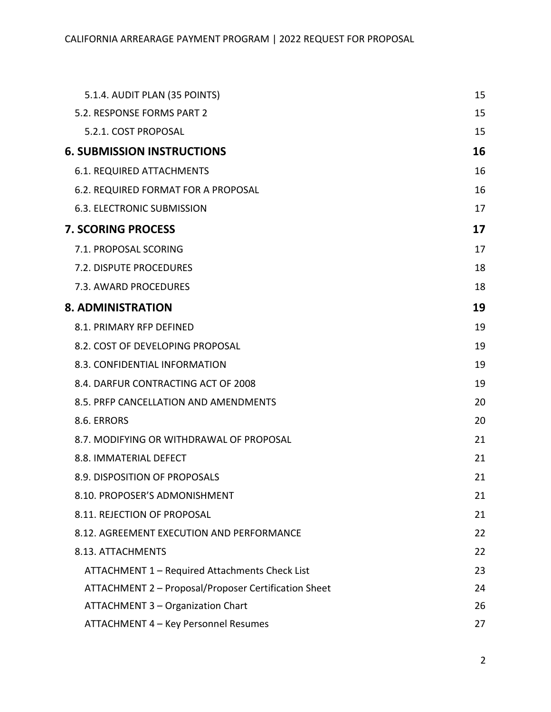| 5.1.4. AUDIT PLAN (35 POINTS)                        | 15 |
|------------------------------------------------------|----|
| 5.2. RESPONSE FORMS PART 2                           | 15 |
| 5.2.1. COST PROPOSAL                                 | 15 |
| <b>6. SUBMISSION INSTRUCTIONS</b>                    | 16 |
| <b>6.1. REQUIRED ATTACHMENTS</b>                     | 16 |
| 6.2. REQUIRED FORMAT FOR A PROPOSAL                  | 16 |
| <b>6.3. ELECTRONIC SUBMISSION</b>                    | 17 |
| <b>7. SCORING PROCESS</b>                            | 17 |
| 7.1. PROPOSAL SCORING                                | 17 |
| 7.2. DISPUTE PROCEDURES                              | 18 |
| 7.3. AWARD PROCEDURES                                | 18 |
| <b>8. ADMINISTRATION</b>                             | 19 |
| 8.1. PRIMARY RFP DEFINED                             | 19 |
| 8.2. COST OF DEVELOPING PROPOSAL                     | 19 |
| 8.3. CONFIDENTIAL INFORMATION                        | 19 |
| 8.4. DARFUR CONTRACTING ACT OF 2008                  | 19 |
| 8.5. PRFP CANCELLATION AND AMENDMENTS                | 20 |
| 8.6. ERRORS                                          | 20 |
| 8.7. MODIFYING OR WITHDRAWAL OF PROPOSAL             | 21 |
| 8.8. IMMATERIAL DEFECT                               | 21 |
| 8.9. DISPOSITION OF PROPOSALS                        | 21 |
| 8.10. PROPOSER'S ADMONISHMENT                        | 21 |
| 8.11. REJECTION OF PROPOSAL                          | 21 |
| 8.12. AGREEMENT EXECUTION AND PERFORMANCE            | 22 |
| 8.13. ATTACHMENTS                                    | 22 |
| ATTACHMENT 1 - Required Attachments Check List       | 23 |
| ATTACHMENT 2 - Proposal/Proposer Certification Sheet | 24 |
| ATTACHMENT 3 - Organization Chart                    | 26 |
| ATTACHMENT 4 - Key Personnel Resumes                 | 27 |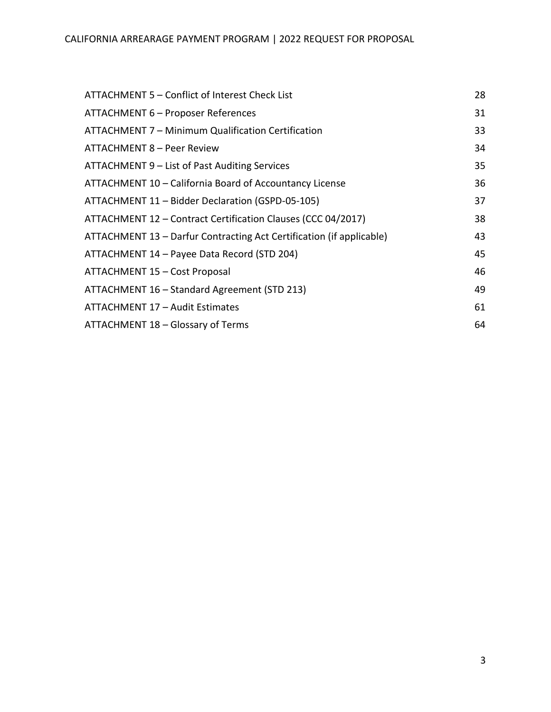| ATTACHMENT 5 – Conflict of Interest Check List                       | 28 |
|----------------------------------------------------------------------|----|
| ATTACHMENT 6 - Proposer References                                   | 31 |
| ATTACHMENT 7 - Minimum Qualification Certification                   | 33 |
| <b>ATTACHMENT 8 - Peer Review</b>                                    | 34 |
| ATTACHMENT 9 – List of Past Auditing Services                        | 35 |
| ATTACHMENT 10 - California Board of Accountancy License              | 36 |
| ATTACHMENT 11 - Bidder Declaration (GSPD-05-105)                     | 37 |
| ATTACHMENT 12 - Contract Certification Clauses (CCC 04/2017)         | 38 |
| ATTACHMENT 13 - Darfur Contracting Act Certification (if applicable) | 43 |
| ATTACHMENT 14 - Payee Data Record (STD 204)                          | 45 |
| ATTACHMENT 15 - Cost Proposal                                        | 46 |
| ATTACHMENT 16 - Standard Agreement (STD 213)                         | 49 |
| ATTACHMENT 17 - Audit Estimates                                      | 61 |
| ATTACHMENT 18 - Glossary of Terms                                    | 64 |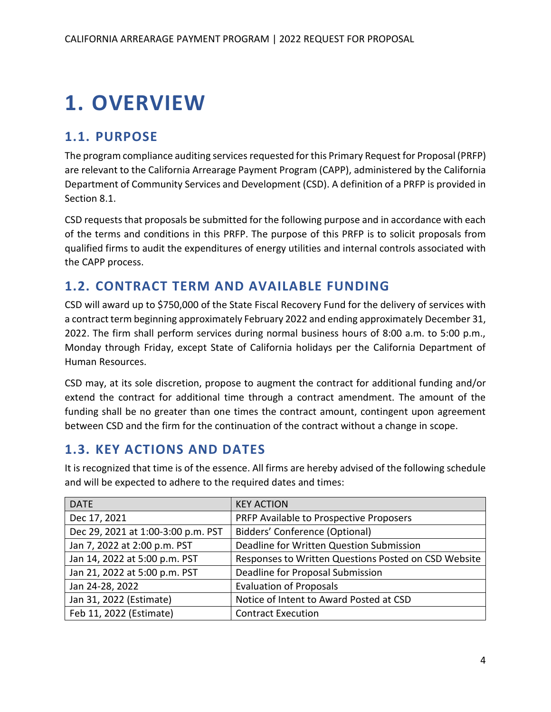## <span id="page-4-0"></span>**1. OVERVIEW**

## <span id="page-4-1"></span>**1.1. PURPOSE**

The program compliance auditing services requested for this Primary Request for Proposal (PRFP) are relevant to the California Arrearage Payment Program (CAPP), administered by the California Department of Community Services and Development (CSD). A definition of a PRFP is provided in Section 8.1.

CSD requests that proposals be submitted for the following purpose and in accordance with each of the terms and conditions in this PRFP. The purpose of this PRFP is to solicit proposals from qualified firms to audit the expenditures of energy utilities and internal controls associated with the CAPP process.

## <span id="page-4-2"></span>**1.2. CONTRACT TERM AND AVAILABLE FUNDING**

CSD will award up to \$750,000 of the State Fiscal Recovery Fund for the delivery of services with a contract term beginning approximately February 2022 and ending approximately December 31, 2022. The firm shall perform services during normal business hours of 8:00 a.m. to 5:00 p.m., Monday through Friday, except State of California holidays per the California Department of Human Resources.

CSD may, at its sole discretion, propose to augment the contract for additional funding and/or extend the contract for additional time through a contract amendment. The amount of the funding shall be no greater than one times the contract amount, contingent upon agreement between CSD and the firm for the continuation of the contract without a change in scope.

## <span id="page-4-3"></span>**1.3. KEY ACTIONS AND DATES**

It is recognized that time is of the essence. All firms are hereby advised of the following schedule and will be expected to adhere to the required dates and times:

| <b>DATE</b>                        | <b>KEY ACTION</b>                                    |
|------------------------------------|------------------------------------------------------|
| Dec 17, 2021                       | PRFP Available to Prospective Proposers              |
| Dec 29, 2021 at 1:00-3:00 p.m. PST | Bidders' Conference (Optional)                       |
| Jan 7, 2022 at 2:00 p.m. PST       | Deadline for Written Question Submission             |
| Jan 14, 2022 at 5:00 p.m. PST      | Responses to Written Questions Posted on CSD Website |
| Jan 21, 2022 at 5:00 p.m. PST      | Deadline for Proposal Submission                     |
| Jan 24-28, 2022                    | <b>Evaluation of Proposals</b>                       |
| Jan 31, 2022 (Estimate)            | Notice of Intent to Award Posted at CSD              |
| Feb 11, 2022 (Estimate)            | <b>Contract Execution</b>                            |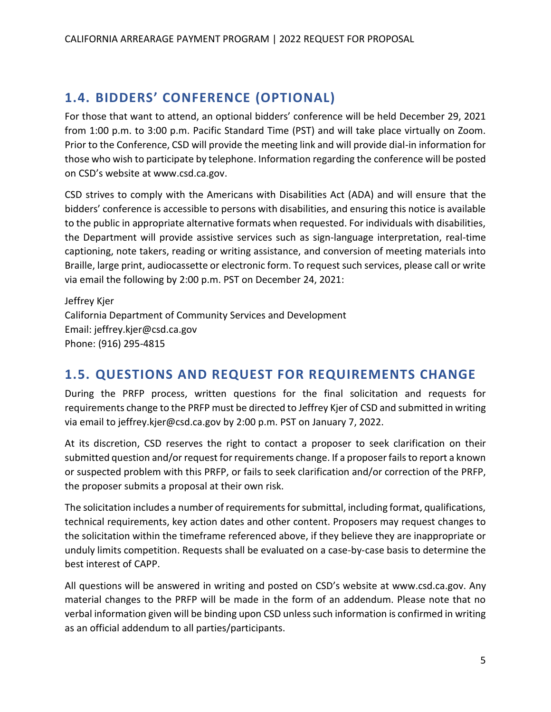## <span id="page-5-0"></span>**1.4. BIDDERS' CONFERENCE (OPTIONAL)**

For those that want to attend, an optional bidders' conference will be held December 29, 2021 from 1:00 p.m. to 3:00 p.m. Pacific Standard Time (PST) and will take place virtually on Zoom. Prior to the Conference, CSD will provide the meeting link and will provide dial-in information for those who wish to participate by telephone. Information regarding the conference will be posted on CSD's website at [www.csd.ca.gov.](http://www.csd.ca.gov/)

CSD strives to comply with the Americans with Disabilities Act (ADA) and will ensure that the bidders' conference is accessible to persons with disabilities, and ensuring this notice is available to the public in appropriate alternative formats when requested. For individuals with disabilities, the Department will provide assistive services such as sign-language interpretation, real-time captioning, note takers, reading or writing assistance, and conversion of meeting materials into Braille, large print, audiocassette or electronic form. To request such services, please call or write via email the following by 2:00 p.m. PST on December 24, 2021:

Jeffrey Kjer California Department of Community Services and Development Email: jeffrey.kjer@csd.ca.gov Phone: (916) 295-4815

## <span id="page-5-1"></span>**1.5. QUESTIONS AND REQUEST FOR REQUIREMENTS CHANGE**

During the PRFP process, written questions for the final solicitation and requests for requirements change to the PRFP must be directed to Jeffrey Kjer of CSD and submitted in writing via email to jeffrey.kjer@csd.ca.gov by 2:00 p.m. PST on January 7, 2022.

At its discretion, CSD reserves the right to contact a proposer to seek clarification on their submitted question and/or request for requirements change. If a proposer fails to report a known or suspected problem with this PRFP, or fails to seek clarification and/or correction of the PRFP, the proposer submits a proposal at their own risk.

The solicitation includes a number of requirements for submittal, including format, qualifications, technical requirements, key action dates and other content. Proposers may request changes to the solicitation within the timeframe referenced above, if they believe they are inappropriate or unduly limits competition. Requests shall be evaluated on a case-by-case basis to determine the best interest of CAPP.

All questions will be answered in writing and posted on CSD's website at [www.csd.ca.gov.](http://www.csd.ca.gov/) Any material changes to the PRFP will be made in the form of an addendum. Please note that no verbal information given will be binding upon CSD unless such information is confirmed in writing as an official addendum to all parties/participants.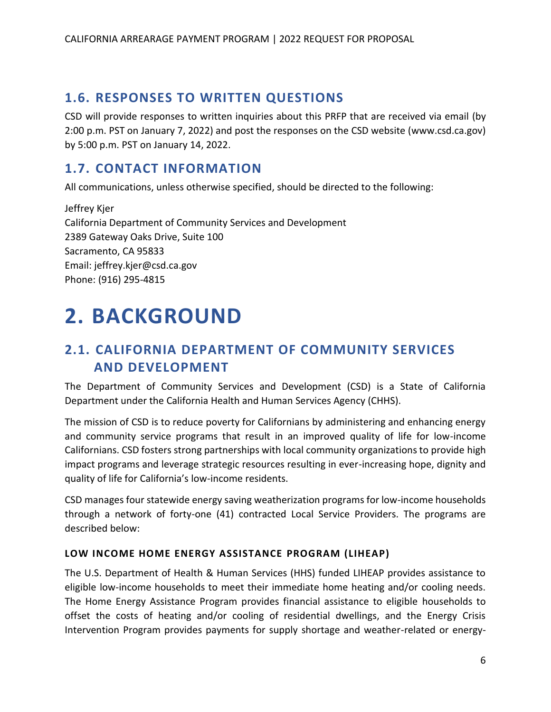## <span id="page-6-0"></span>**1.6. RESPONSES TO WRITTEN QUESTIONS**

CSD will provide responses to written inquiries about this PRFP that are received via email (by 2:00 p.m. PST on January 7, 2022) and post the responses on the CSD website [\(www.csd.ca.gov\)](http://www.csd.ca.gov/) by 5:00 p.m. PST on January 14, 2022.

## <span id="page-6-1"></span>**1.7. CONTACT INFORMATION**

All communications, unless otherwise specified, should be directed to the following:

Jeffrey Kjer California Department of Community Services and Development 2389 Gateway Oaks Drive, Suite 100 Sacramento, CA 95833 Email: jeffrey.kjer@csd.ca.gov Phone: (916) 295-4815

## <span id="page-6-2"></span>**2. BACKGROUND**

## <span id="page-6-3"></span>**2.1. CALIFORNIA DEPARTMENT OF COMMUNITY SERVICES AND DEVELOPMENT**

The Department of Community Services and Development (CSD) is a State of California Department under the California Health and Human Services Agency (CHHS).

The mission of CSD is to reduce poverty for Californians by administering and enhancing energy and community service programs that result in an improved quality of life for low-income Californians. CSD fosters strong partnerships with local community organizations to provide high impact programs and leverage strategic resources resulting in ever-increasing hope, dignity and quality of life for California's low-income residents.

CSD manages four statewide energy saving weatherization programs for low-income households through a network of forty-one (41) contracted Local Service Providers. The programs are described below:

### **LOW INCOME HOME ENERGY ASSISTANCE PROGRAM (LIHEAP)**

The U.S. Department of Health & Human Services (HHS) funded LIHEAP provides assistance to eligible low-income households to meet their immediate home heating and/or cooling needs. The Home Energy Assistance Program provides financial assistance to eligible households to offset the costs of heating and/or cooling of residential dwellings, and the Energy Crisis Intervention Program provides payments for supply shortage and weather-related or energy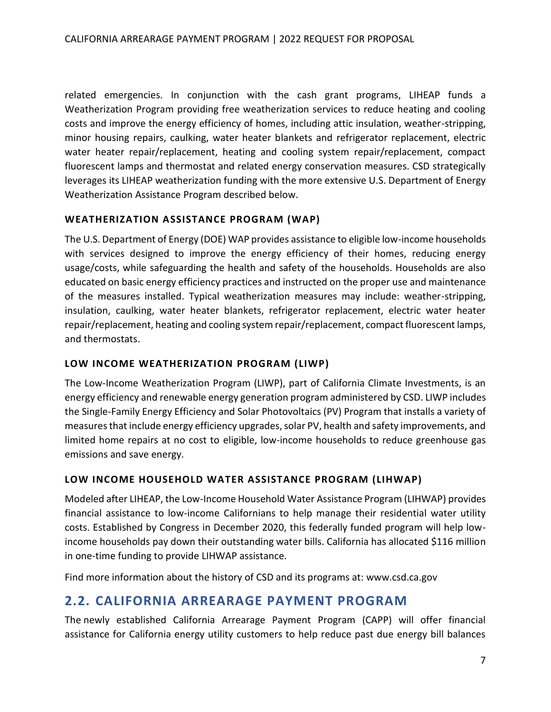related emergencies. In conjunction with the cash grant programs, LIHEAP funds a Weatherization Program providing free weatherization services to reduce heating and cooling costs and improve the energy efficiency of homes, including attic insulation, weather-stripping, minor housing repairs, caulking, water heater blankets and refrigerator replacement, electric water heater repair/replacement, heating and cooling system repair/replacement, compact fluorescent lamps and thermostat and related energy conservation measures. CSD strategically leverages its LIHEAP weatherization funding with the more extensive U.S. Department of Energy Weatherization Assistance Program described below.

### **WEATHERIZATION ASSISTANCE PROGRAM (WAP)**

The U.S. Department of Energy (DOE) WAP provides assistance to eligible low-income households with services designed to improve the energy efficiency of their homes, reducing energy usage/costs, while safeguarding the health and safety of the households. Households are also educated on basic energy efficiency practices and instructed on the proper use and maintenance of the measures installed. Typical weatherization measures may include: weather-stripping, insulation, caulking, water heater blankets, refrigerator replacement, electric water heater repair/replacement, heating and cooling system repair/replacement, compact fluorescent lamps, and thermostats.

### **LOW INCOME WEATHERIZATION PROGRAM (LIWP)**

The Low-Income Weatherization Program (LIWP), part of California Climate Investments, is an energy efficiency and renewable energy generation program administered by CSD. LIWP includes the Single-Family Energy Efficiency and Solar Photovoltaics (PV) Program that installs a variety of measures that include energy efficiency upgrades, solar PV, health and safety improvements, and limited home repairs at no cost to eligible, low-income households to reduce greenhouse gas emissions and save energy.

### **LOW INCOME HOUSEHOLD WATER ASSISTANCE PROGRAM (LIHWAP)**

Modeled after LIHEAP, the Low-Income Household Water Assistance Program (LIHWAP) provides financial assistance to low-income Californians to help manage their residential water utility costs. Established by Congress in December 2020, this federally funded program will help lowincome households pay down their outstanding water bills. California has allocated \$116 million in one-time funding to provide LIHWAP assistance.

Find more information about the history of CSD and its programs at: [www.csd.ca.gov](http://www.csd.ca.gov/)

## <span id="page-7-0"></span>**2.2. CALIFORNIA ARREARAGE PAYMENT PROGRAM**

The newly established California Arrearage Payment Program (CAPP) will offer financial assistance for California energy utility customers to help reduce past due energy bill balances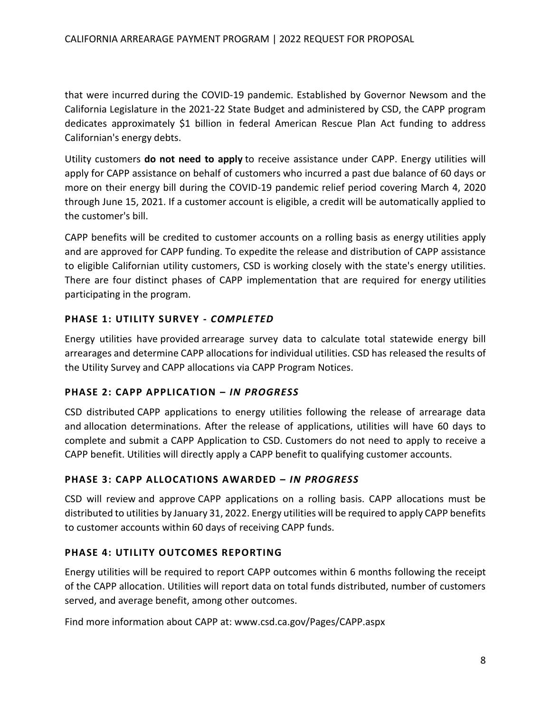that were incurred during the COVID-19 pandemic. Established by Governor Newsom and the California Legislature in the 2021-22 State Budget and administered by CSD, the CAPP program dedicates approximately \$1 billion in federal American Rescue Plan Act funding to address Californian's energy debts.

Utility customers **do not need to apply** to receive assistance under CAPP. Energy utilities will apply for CAPP assistance on behalf of customers who incurred a past due balance of 60 days or more on their energy bill during the COVID-19 pandemic relief period covering March 4, 2020 through June 15, 2021. If a customer account is eligible, a credit will be automatically applied to the customer's bill.

CAPP benefits will be credited to customer accounts on a rolling basis as energy utilities apply and are approved for CAPP funding. To expedite the release and distribution of CAPP assistance to eligible Californian utility customers, CSD is working closely with the state's energy utilities. There are four distinct phases of CAPP implementation that are required for energy utilities participating in the program.

### **PHASE 1: UTILITY SURVEY -** *COMPLETED*

Energy utilities have provided arrearage survey data to calculate total statewide energy bill arrearages and determine CAPP allocations for individual utilities. CSD has released the results of the Utility Survey and CAPP allocations via CAPP Program Notices.

#### **PHASE 2: CAPP APPLICATION –** *IN PROGRESS*

CSD distributed CAPP applications to energy utilities following the release of arrearage data and allocation determinations. After the release of applications, utilities will have 60 days to complete and submit a CAPP Application to CSD. Customers do not need to apply to receive a CAPP benefit. Utilities will directly apply a CAPP benefit to qualifying customer accounts.

#### **PHASE 3: CAPP ALLOCATIONS AWARDED –** *IN PROGRESS*

CSD will review and approve CAPP applications on a rolling basis. CAPP allocations must be distributed to utilities by January 31, 2022. Energy utilities will be required to apply CAPP benefits to customer accounts within 60 days of receiving CAPP funds.

#### **PHASE 4: UTILITY OUTCOMES REPORTING**

Energy utilities will be required to report CAPP outcomes within 6 months following the receipt of the CAPP allocation. Utilities will report data on total funds distributed, number of customers served, and average benefit, among other outcomes.

Find more information about CAPP at: [www.csd.ca.gov/Pages/CAPP.aspx](http://www.csd.ca.gov/Pages/CAPP.aspx)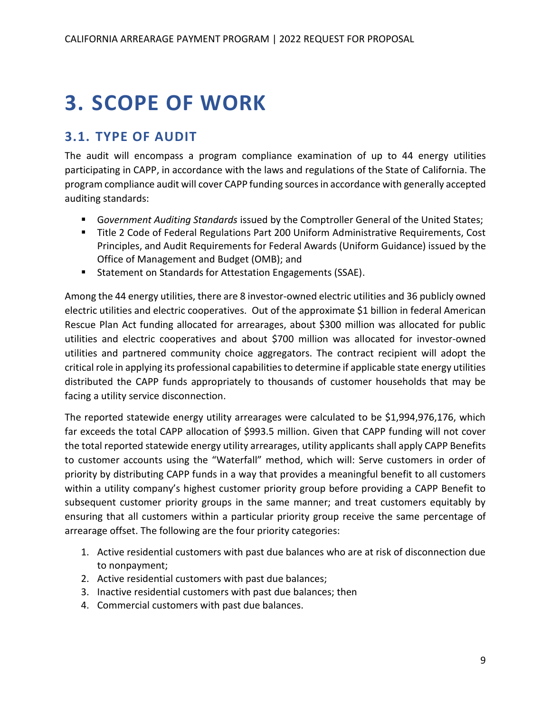## <span id="page-9-0"></span>**3. SCOPE OF WORK**

## <span id="page-9-1"></span>**3.1. TYPE OF AUDIT**

The audit will encompass a program compliance examination of up to 44 energy utilities participating in CAPP, in accordance with the laws and regulations of the State of California. The program compliance audit will cover CAPP funding sources in accordance with generally accepted auditing standards:

- G*overnment Auditing Standards* issued by the Comptroller General of the United States;
- Title 2 Code of Federal Regulations Part 200 Uniform Administrative Requirements, Cost Principles, and Audit Requirements for Federal Awards (Uniform Guidance) issued by the Office of Management and Budget (OMB); and
- Statement on Standards for Attestation Engagements (SSAE).

Among the 44 energy utilities, there are 8 investor-owned electric utilities and 36 publicly owned electric utilities and electric cooperatives. Out of the approximate \$1 billion in federal American Rescue Plan Act funding allocated for arrearages, about \$300 million was allocated for public utilities and electric cooperatives and about \$700 million was allocated for investor-owned utilities and partnered community choice aggregators. The contract recipient will adopt the critical role in applying its professional capabilities to determine if applicable state energy utilities distributed the CAPP funds appropriately to thousands of customer households that may be facing a utility service disconnection.

The reported statewide energy utility arrearages were calculated to be \$1,994,976,176, which far exceeds the total CAPP allocation of \$993.5 million. Given that CAPP funding will not cover the total reported statewide energy utility arrearages, utility applicants shall apply CAPP Benefits to customer accounts using the "Waterfall" method, which will: Serve customers in order of priority by distributing CAPP funds in a way that provides a meaningful benefit to all customers within a utility company's highest customer priority group before providing a CAPP Benefit to subsequent customer priority groups in the same manner; and treat customers equitably by ensuring that all customers within a particular priority group receive the same percentage of arrearage offset. The following are the four priority categories:

- 1. Active residential customers with past due balances who are at risk of disconnection due to nonpayment;
- 2. Active residential customers with past due balances;
- 3. Inactive residential customers with past due balances; then
- 4. Commercial customers with past due balances.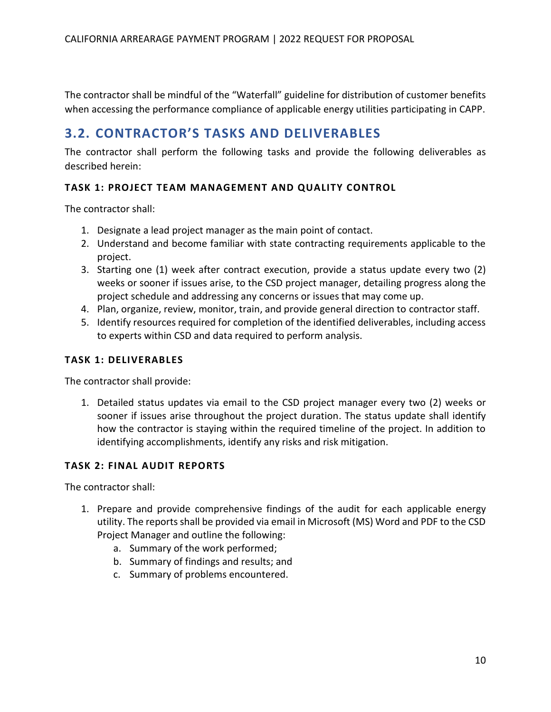The contractor shall be mindful of the "Waterfall" guideline for distribution of customer benefits when accessing the performance compliance of applicable energy utilities participating in CAPP.

## <span id="page-10-0"></span>**3.2. CONTRACTOR'S TASKS AND DELIVERABLES**

The contractor shall perform the following tasks and provide the following deliverables as described herein:

### **TASK 1: PROJECT TEAM MANAGEMENT AND QUALITY CONTROL**

The contractor shall:

- 1. Designate a lead project manager as the main point of contact.
- 2. Understand and become familiar with state contracting requirements applicable to the project.
- 3. Starting one (1) week after contract execution, provide a status update every two (2) weeks or sooner if issues arise, to the CSD project manager, detailing progress along the project schedule and addressing any concerns or issues that may come up.
- 4. Plan, organize, review, monitor, train, and provide general direction to contractor staff.
- 5. Identify resources required for completion of the identified deliverables, including access to experts within CSD and data required to perform analysis.

#### **TASK 1: DELIVERABLES**

The contractor shall provide:

1. Detailed status updates via email to the CSD project manager every two (2) weeks or sooner if issues arise throughout the project duration. The status update shall identify how the contractor is staying within the required timeline of the project. In addition to identifying accomplishments, identify any risks and risk mitigation.

#### **TASK 2: FINAL AUDIT REPORTS**

The contractor shall:

- 1. Prepare and provide comprehensive findings of the audit for each applicable energy utility. The reports shall be provided via email in Microsoft (MS) Word and PDF to the CSD Project Manager and outline the following:
	- a. Summary of the work performed;
	- b. Summary of findings and results; and
	- c. Summary of problems encountered.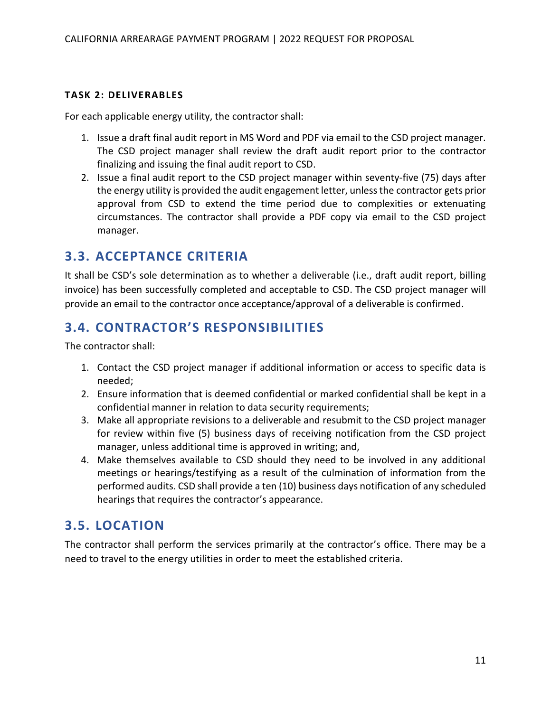#### **TASK 2: DELIVERABLES**

For each applicable energy utility, the contractor shall:

- 1. Issue a draft final audit report in MS Word and PDF via email to the CSD project manager. The CSD project manager shall review the draft audit report prior to the contractor finalizing and issuing the final audit report to CSD.
- 2. Issue a final audit report to the CSD project manager within seventy-five (75) days after the energy utility is provided the audit engagement letter, unless the contractor gets prior approval from CSD to extend the time period due to complexities or extenuating circumstances. The contractor shall provide a PDF copy via email to the CSD project manager.

## <span id="page-11-0"></span>**3.3. ACCEPTANCE CRITERIA**

It shall be CSD's sole determination as to whether a deliverable (i.e., draft audit report, billing invoice) has been successfully completed and acceptable to CSD. The CSD project manager will provide an email to the contractor once acceptance/approval of a deliverable is confirmed.

## <span id="page-11-1"></span>**3.4. CONTRACTOR'S RESPONSIBILITIES**

The contractor shall:

- 1. Contact the CSD project manager if additional information or access to specific data is needed;
- 2. Ensure information that is deemed confidential or marked confidential shall be kept in a confidential manner in relation to data security requirements;
- 3. Make all appropriate revisions to a deliverable and resubmit to the CSD project manager for review within five (5) business days of receiving notification from the CSD project manager, unless additional time is approved in writing; and,
- 4. Make themselves available to CSD should they need to be involved in any additional meetings or hearings/testifying as a result of the culmination of information from the performed audits. CSD shall provide a ten (10) business days notification of any scheduled hearings that requires the contractor's appearance.

## <span id="page-11-2"></span>**3.5. LOCATION**

The contractor shall perform the services primarily at the contractor's office. There may be a need to travel to the energy utilities in order to meet the established criteria.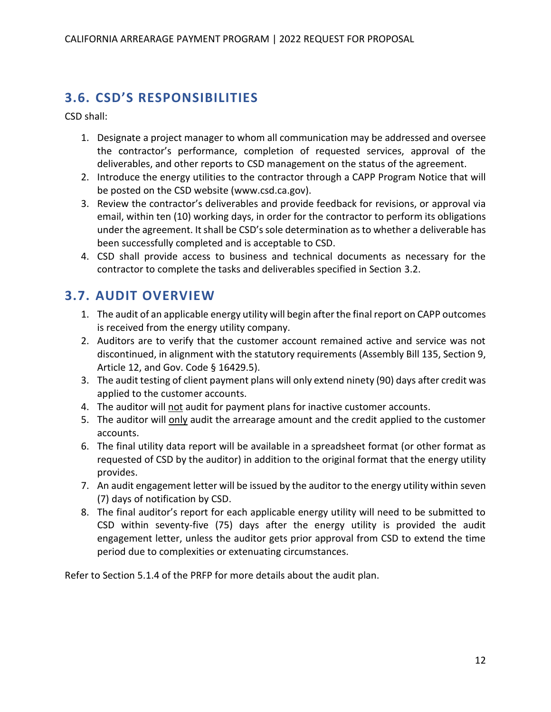## <span id="page-12-0"></span>**3.6. CSD'S RESPONSIBILITIES**

CSD shall:

- 1. Designate a project manager to whom all communication may be addressed and oversee the contractor's performance, completion of requested services, approval of the deliverables, and other reports to CSD management on the status of the agreement.
- 2. Introduce the energy utilities to the contractor through a CAPP Program Notice that will be posted on the CSD website [\(www.csd.ca.gov\)](http://www.csd.ca.gov/).
- 3. Review the contractor's deliverables and provide feedback for revisions, or approval via email, within ten (10) working days, in order for the contractor to perform its obligations under the agreement. It shall be CSD's sole determination as to whether a deliverable has been successfully completed and is acceptable to CSD.
- 4. CSD shall provide access to business and technical documents as necessary for the contractor to complete the tasks and deliverables specified in Section 3.2.

## <span id="page-12-1"></span>**3.7. AUDIT OVERVIEW**

- 1. The audit of an applicable energy utility will begin after the final report on CAPP outcomes is received from the energy utility company.
- 2. Auditors are to verify that the customer account remained active and service was not discontinued, in alignment with the statutory requirements (Assembly Bill 135, Section 9, Article 12, and Gov. Code § 16429.5).
- 3. The audit testing of client payment plans will only extend ninety (90) days after credit was applied to the customer accounts.
- 4. The auditor will not audit for payment plans for inactive customer accounts.
- 5. The auditor will only audit the arrearage amount and the credit applied to the customer accounts.
- 6. The final utility data report will be available in a spreadsheet format (or other format as requested of CSD by the auditor) in addition to the original format that the energy utility provides.
- 7. An audit engagement letter will be issued by the auditor to the energy utility within seven (7) days of notification by CSD.
- 8. The final auditor's report for each applicable energy utility will need to be submitted to CSD within seventy-five (75) days after the energy utility is provided the audit engagement letter, unless the auditor gets prior approval from CSD to extend the time period due to complexities or extenuating circumstances.

Refer to Section 5.1.4 of the PRFP for more details about the audit plan.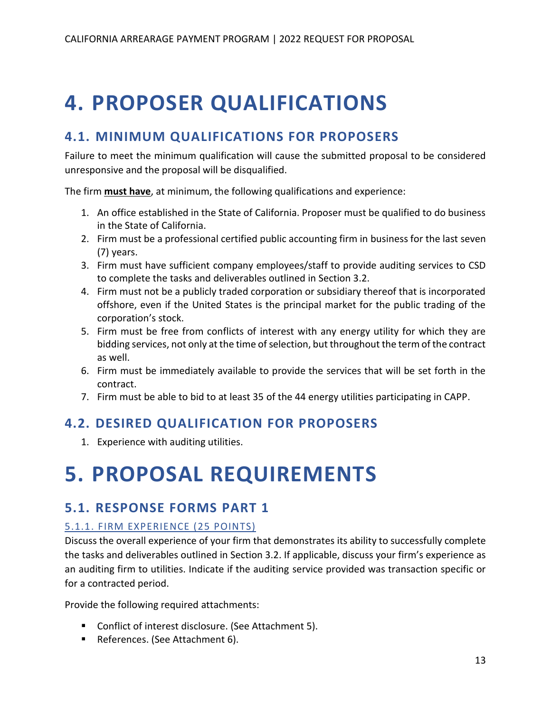## <span id="page-13-0"></span>**4. PROPOSER QUALIFICATIONS**

## <span id="page-13-1"></span>**4.1. MINIMUM QUALIFICATIONS FOR PROPOSERS**

Failure to meet the minimum qualification will cause the submitted proposal to be considered unresponsive and the proposal will be disqualified.

The firm **must have**, at minimum, the following qualifications and experience:

- 1. An office established in the State of California. Proposer must be qualified to do business in the State of California.
- 2. Firm must be a professional certified public accounting firm in business for the last seven (7) years.
- 3. Firm must have sufficient company employees/staff to provide auditing services to CSD to complete the tasks and deliverables outlined in Section 3.2.
- 4. Firm must not be a publicly traded corporation or subsidiary thereof that is incorporated offshore, even if the United States is the principal market for the public trading of the corporation's stock.
- 5. Firm must be free from conflicts of interest with any energy utility for which they are bidding services, not only at the time of selection, but throughout the term of the contract as well.
- 6. Firm must be immediately available to provide the services that will be set forth in the contract.
- 7. Firm must be able to bid to at least 35 of the 44 energy utilities participating in CAPP.

## <span id="page-13-2"></span>**4.2. DESIRED QUALIFICATION FOR PROPOSERS**

1. Experience with auditing utilities.

## <span id="page-13-3"></span>**5. PROPOSAL REQUIREMENTS**

## <span id="page-13-4"></span>**5.1. RESPONSE FORMS PART 1**

## <span id="page-13-5"></span>5.1.1. FIRM EXPERIENCE (25 POINTS)

Discuss the overall experience of your firm that demonstrates its ability to successfully complete the tasks and deliverables outlined in Section 3.2. If applicable, discuss your firm's experience as an auditing firm to utilities. Indicate if the auditing service provided was transaction specific or for a contracted period.

Provide the following required attachments:

- Conflict of interest disclosure. (See Attachment 5).
- References. (See Attachment 6).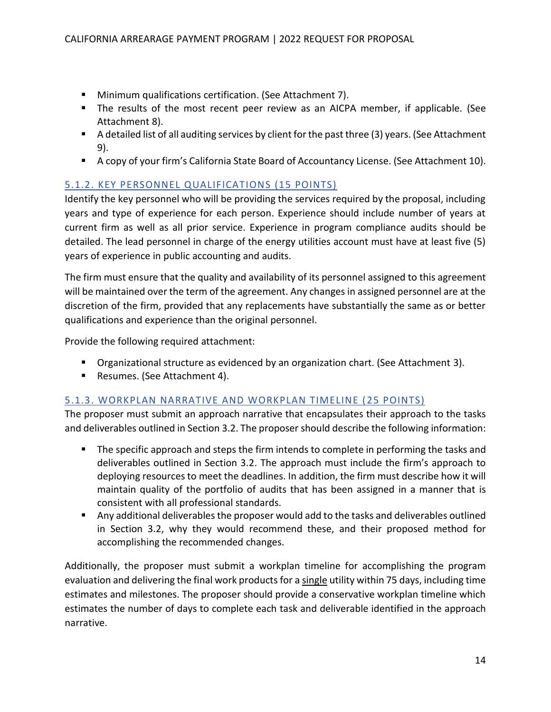- Minimum qualifications certification. (See Attachment 7).
- The results of the most recent peer review as an AICPA member, if applicable. (See Attachment 8).
- A detailed list of all auditing services by client for the past three (3) years. (See Attachment 9).
- A copy of your firm's California State Board of Accountancy License. (See Attachment 10).

## <span id="page-14-0"></span>5.1.2. KEY PERSONNEL QUALIFICATIONS (15 POINTS)

Identify the key personnel who will be providing the services required by the proposal, including years and type of experience for each person. Experience should include number of years at current firm as well as all prior service. Experience in program compliance audits should be detailed. The lead personnel in charge of the energy utilities account must have at least five (5) years of experience in public accounting and audits.

The firm must ensure that the quality and availability of its personnel assigned to this agreement will be maintained over the term of the agreement. Any changes in assigned personnel are at the discretion of the firm, provided that any replacements have substantially the same as or better qualifications and experience than the original personnel.

Provide the following required attachment:

- Organizational structure as evidenced by an organization chart. (See Attachment 3).
- Resumes. (See Attachment 4).

### <span id="page-14-1"></span>5.1.3. WORKPLAN NARRATIVE AND WORKPLAN TIMELINE (25 POINTS)

The proposer must submit an approach narrative that encapsulates their approach to the tasks and deliverables outlined in Section 3.2. The proposer should describe the following information:

- The specific approach and steps the firm intends to complete in performing the tasks and deliverables outlined in Section 3.2. The approach must include the firm's approach to deploying resources to meet the deadlines. In addition, the firm must describe how it will maintain quality of the portfolio of audits that has been assigned in a manner that is consistent with all professional standards.
- Any additional deliverables the proposer would add to the tasks and deliverables outlined in Section 3.2, why they would recommend these, and their proposed method for accomplishing the recommended changes.

Additionally, the proposer must submit a workplan timeline for accomplishing the program evaluation and delivering the final work products for a single utility within 75 days, including time estimates and milestones. The proposer should provide a conservative workplan timeline which estimates the number of days to complete each task and deliverable identified in the approach narrative.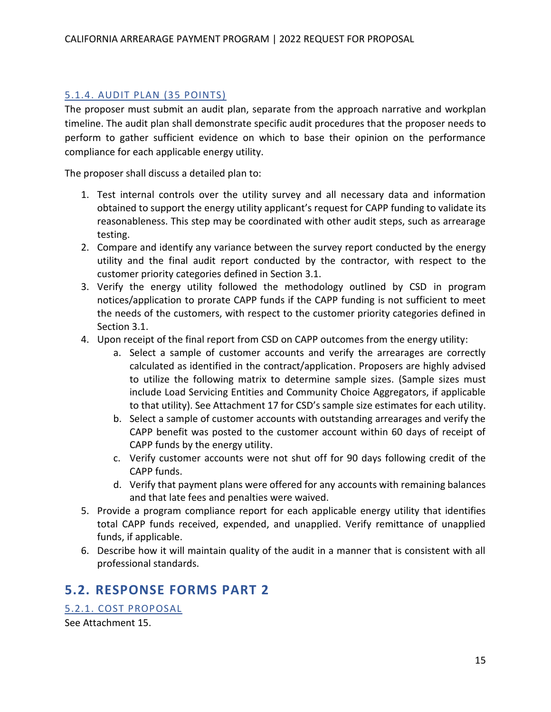## <span id="page-15-0"></span>5.1.4. AUDIT PLAN (35 POINTS)

The proposer must submit an audit plan, separate from the approach narrative and workplan timeline. The audit plan shall demonstrate specific audit procedures that the proposer needs to perform to gather sufficient evidence on which to base their opinion on the performance compliance for each applicable energy utility.

The proposer shall discuss a detailed plan to:

- 1. Test internal controls over the utility survey and all necessary data and information obtained to support the energy utility applicant's request for CAPP funding to validate its reasonableness. This step may be coordinated with other audit steps, such as arrearage testing.
- 2. Compare and identify any variance between the survey report conducted by the energy utility and the final audit report conducted by the contractor, with respect to the customer priority categories defined in Section 3.1.
- 3. Verify the energy utility followed the methodology outlined by CSD in program notices/application to prorate CAPP funds if the CAPP funding is not sufficient to meet the needs of the customers, with respect to the customer priority categories defined in Section 3.1.
- 4. Upon receipt of the final report from CSD on CAPP outcomes from the energy utility:
	- a. Select a sample of customer accounts and verify the arrearages are correctly calculated as identified in the contract/application. Proposers are highly advised to utilize the following matrix to determine sample sizes. (Sample sizes must include Load Servicing Entities and Community Choice Aggregators, if applicable to that utility). See Attachment 17 for CSD's sample size estimates for each utility.
	- b. Select a sample of customer accounts with outstanding arrearages and verify the CAPP benefit was posted to the customer account within 60 days of receipt of CAPP funds by the energy utility.
	- c. Verify customer accounts were not shut off for 90 days following credit of the CAPP funds.
	- d. Verify that payment plans were offered for any accounts with remaining balances and that late fees and penalties were waived.
- 5. Provide a program compliance report for each applicable energy utility that identifies total CAPP funds received, expended, and unapplied. Verify remittance of unapplied funds, if applicable.
- 6. Describe how it will maintain quality of the audit in a manner that is consistent with all professional standards.

## <span id="page-15-1"></span>**5.2. RESPONSE FORMS PART 2**

<span id="page-15-2"></span>5.2.1. COST PROPOSAL See Attachment 15.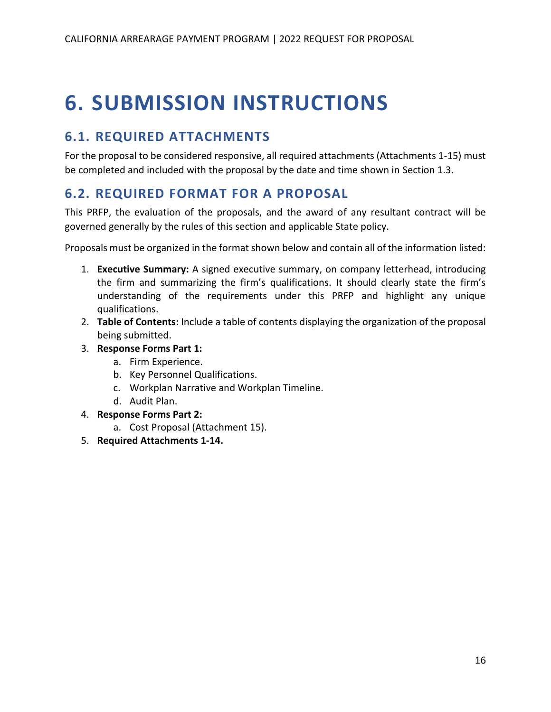## <span id="page-16-0"></span>**6. SUBMISSION INSTRUCTIONS**

## <span id="page-16-1"></span>**6.1. REQUIRED ATTACHMENTS**

For the proposal to be considered responsive, all required attachments (Attachments 1-15) must be completed and included with the proposal by the date and time shown in Section 1.3.

## <span id="page-16-2"></span>**6.2. REQUIRED FORMAT FOR A PROPOSAL**

This PRFP, the evaluation of the proposals, and the award of any resultant contract will be governed generally by the rules of this section and applicable State policy.

Proposals must be organized in the format shown below and contain all of the information listed:

- 1. **Executive Summary:** A signed executive summary, on company letterhead, introducing the firm and summarizing the firm's qualifications. It should clearly state the firm's understanding of the requirements under this PRFP and highlight any unique qualifications.
- 2. **Table of Contents:** Include a table of contents displaying the organization of the proposal being submitted.
- 3. **Response Forms Part 1:**
	- a. Firm Experience.
	- b. Key Personnel Qualifications.
	- c. Workplan Narrative and Workplan Timeline.
	- d. Audit Plan.
- 4. **Response Forms Part 2:**
	- a. Cost Proposal (Attachment 15).
- 5. **Required Attachments 1-14.**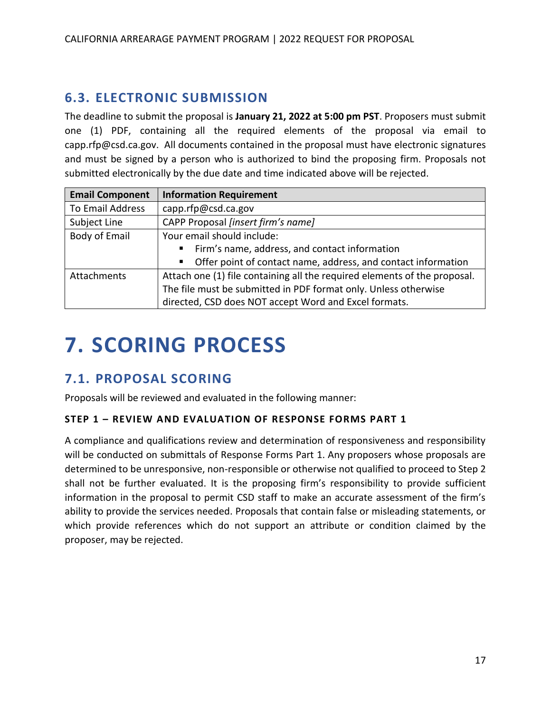## <span id="page-17-0"></span>**6.3. ELECTRONIC SUBMISSION**

The deadline to submit the proposal is **January 21, 2022 at 5:00 pm PST**. Proposers must submit one (1) PDF, containing all the required elements of the proposal via email to capp.rfp@csd.ca.gov. All documents contained in the proposal must have electronic signatures and must be signed by a person who is authorized to bind the proposing firm. Proposals not submitted electronically by the due date and time indicated above will be rejected.

| <b>Email Component</b>  | <b>Information Requirement</b>                                            |  |  |  |
|-------------------------|---------------------------------------------------------------------------|--|--|--|
| <b>To Email Address</b> | capp.rfp@csd.ca.gov                                                       |  |  |  |
| Subject Line            | CAPP Proposal [insert firm's name]                                        |  |  |  |
| Body of Email           | Your email should include:                                                |  |  |  |
|                         | Firm's name, address, and contact information                             |  |  |  |
|                         | • Offer point of contact name, address, and contact information           |  |  |  |
| Attachments             | Attach one (1) file containing all the required elements of the proposal. |  |  |  |
|                         | The file must be submitted in PDF format only. Unless otherwise           |  |  |  |
|                         | directed, CSD does NOT accept Word and Excel formats.                     |  |  |  |

## <span id="page-17-1"></span>**7. SCORING PROCESS**

## <span id="page-17-2"></span>**7.1. PROPOSAL SCORING**

Proposals will be reviewed and evaluated in the following manner:

### **STEP 1 – REVIEW AND EVALUATION OF RESPONSE FORMS PART 1**

A compliance and qualifications review and determination of responsiveness and responsibility will be conducted on submittals of Response Forms Part 1. Any proposers whose proposals are determined to be unresponsive, non-responsible or otherwise not qualified to proceed to Step 2 shall not be further evaluated. It is the proposing firm's responsibility to provide sufficient information in the proposal to permit CSD staff to make an accurate assessment of the firm's ability to provide the services needed. Proposals that contain false or misleading statements, or which provide references which do not support an attribute or condition claimed by the proposer, may be rejected.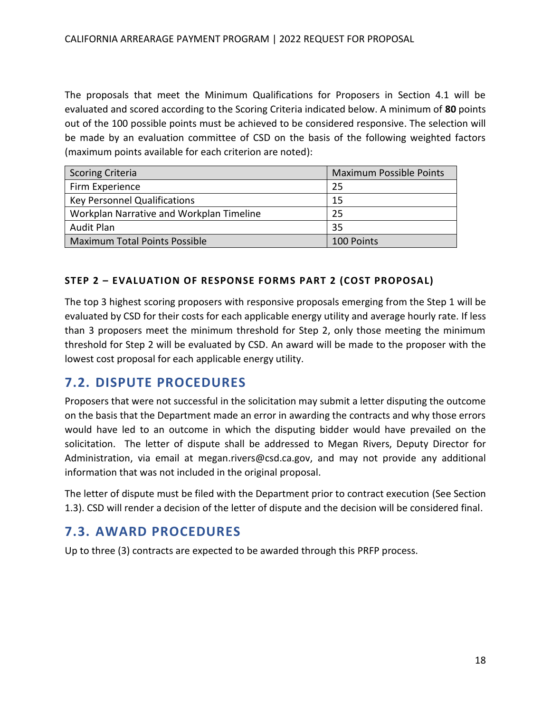The proposals that meet the Minimum Qualifications for Proposers in Section 4.1 will be evaluated and scored according to the Scoring Criteria indicated below. A minimum of **80** points out of the 100 possible points must be achieved to be considered responsive. The selection will be made by an evaluation committee of CSD on the basis of the following weighted factors (maximum points available for each criterion are noted):

| <b>Scoring Criteria</b>                  | <b>Maximum Possible Points</b> |
|------------------------------------------|--------------------------------|
| Firm Experience                          | 25                             |
| <b>Key Personnel Qualifications</b>      | 15                             |
| Workplan Narrative and Workplan Timeline | 25                             |
| Audit Plan                               | 35                             |
| <b>Maximum Total Points Possible</b>     | 100 Points                     |

#### **STEP 2 – EVALUATION OF RESPONSE FORMS PART 2 (COST PROPOSAL)**

The top 3 highest scoring proposers with responsive proposals emerging from the Step 1 will be evaluated by CSD for their costs for each applicable energy utility and average hourly rate. If less than 3 proposers meet the minimum threshold for Step 2, only those meeting the minimum threshold for Step 2 will be evaluated by CSD. An award will be made to the proposer with the lowest cost proposal for each applicable energy utility.

## <span id="page-18-0"></span>**7.2. DISPUTE PROCEDURES**

Proposers that were not successful in the solicitation may submit a letter disputing the outcome on the basis that the Department made an error in awarding the contracts and why those errors would have led to an outcome in which the disputing bidder would have prevailed on the solicitation. The letter of dispute shall be addressed to Megan Rivers, Deputy Director for Administration, via email at megan.rivers@csd.ca.gov, and may not provide any additional information that was not included in the original proposal.

The letter of dispute must be filed with the Department prior to contract execution (See Section 1.3). CSD will render a decision of the letter of dispute and the decision will be considered final.

## <span id="page-18-1"></span>**7.3. AWARD PROCEDURES**

Up to three (3) contracts are expected to be awarded through this PRFP process.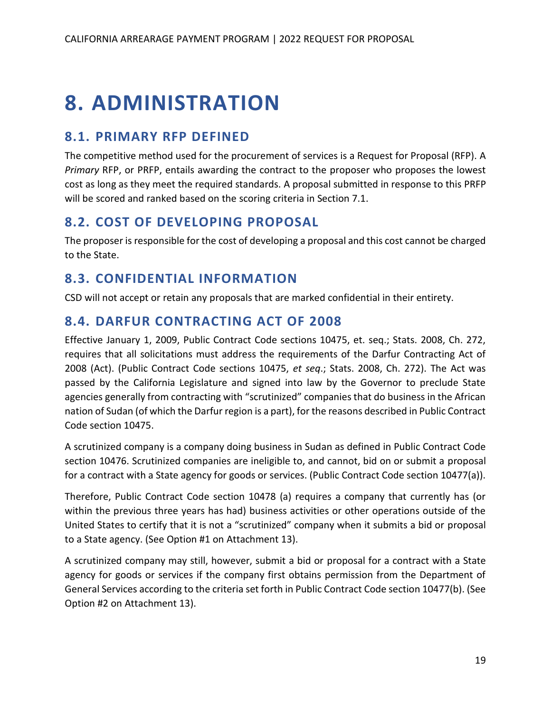## <span id="page-19-0"></span>**8. ADMINISTRATION**

## <span id="page-19-1"></span>**8.1. PRIMARY RFP DEFINED**

The competitive method used for the procurement of services is a Request for Proposal (RFP). A *Primary* RFP, or PRFP, entails awarding the contract to the proposer who proposes the lowest cost as long as they meet the required standards. A proposal submitted in response to this PRFP will be scored and ranked based on the scoring criteria in Section 7.1.

## <span id="page-19-2"></span>**8.2. COST OF DEVELOPING PROPOSAL**

The proposer is responsible for the cost of developing a proposal and this cost cannot be charged to the State.

## <span id="page-19-3"></span>**8.3. CONFIDENTIAL INFORMATION**

CSD will not accept or retain any proposals that are marked confidential in their entirety.

## <span id="page-19-4"></span>**8.4. DARFUR CONTRACTING ACT OF 2008**

Effective January 1, 2009, Public Contract Code sections 10475, et. seq.; Stats. 2008, Ch. 272, requires that all solicitations must address the requirements of the Darfur Contracting Act of 2008 (Act). (Public Contract Code sections 10475, *et seq*.; Stats. 2008, Ch. 272). The Act was passed by the California Legislature and signed into law by the Governor to preclude State agencies generally from contracting with "scrutinized" companies that do business in the African nation of Sudan (of which the Darfur region is a part), for the reasons described in Public Contract Code section 10475.

A scrutinized company is a company doing business in Sudan as defined in Public Contract Code section 10476. Scrutinized companies are ineligible to, and cannot, bid on or submit a proposal for a contract with a State agency for goods or services. (Public Contract Code section 10477(a)).

Therefore, Public Contract Code section 10478 (a) requires a company that currently has (or within the previous three years has had) business activities or other operations outside of the United States to certify that it is not a "scrutinized" company when it submits a bid or proposal to a State agency. (See Option #1 on Attachment 13).

A scrutinized company may still, however, submit a bid or proposal for a contract with a State agency for goods or services if the company first obtains permission from the Department of General Services according to the criteria set forth in Public Contract Code section 10477(b). (See Option #2 on Attachment 13).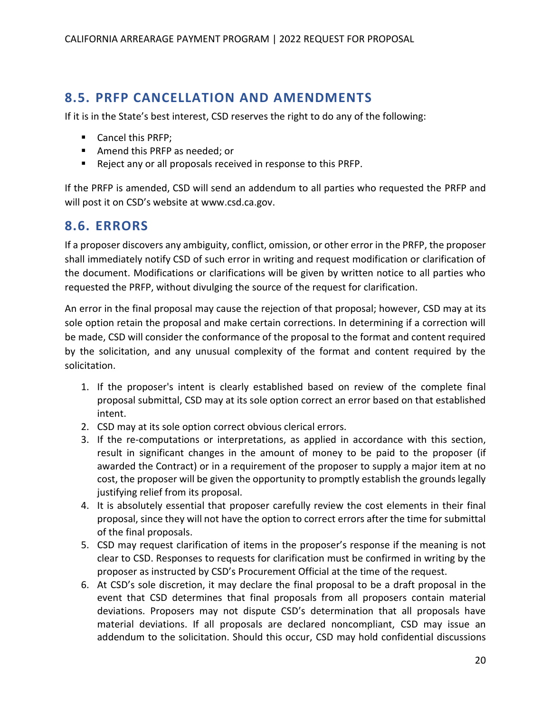## <span id="page-20-0"></span>**8.5. PRFP CANCELLATION AND AMENDMENTS**

If it is in the State's best interest, CSD reserves the right to do any of the following:

- Cancel this PRFP;
- Amend this PRFP as needed; or
- Reject any or all proposals received in response to this PRFP.

If the PRFP is amended, CSD will send an addendum to all parties who requested the PRFP and will post it on CSD's website at [www.csd.ca.gov.](http://www.csd.ca.gov/)

## <span id="page-20-1"></span>**8.6. ERRORS**

If a proposer discovers any ambiguity, conflict, omission, or other error in the PRFP, the proposer shall immediately notify CSD of such error in writing and request modification or clarification of the document. Modifications or clarifications will be given by written notice to all parties who requested the PRFP, without divulging the source of the request for clarification.

An error in the final proposal may cause the rejection of that proposal; however, CSD may at its sole option retain the proposal and make certain corrections. In determining if a correction will be made, CSD will consider the conformance of the proposal to the format and content required by the solicitation, and any unusual complexity of the format and content required by the solicitation.

- 1. If the proposer's intent is clearly established based on review of the complete final proposal submittal, CSD may at its sole option correct an error based on that established intent.
- 2. CSD may at its sole option correct obvious clerical errors.
- 3. If the re-computations or interpretations, as applied in accordance with this section, result in significant changes in the amount of money to be paid to the proposer (if awarded the Contract) or in a requirement of the proposer to supply a major item at no cost, the proposer will be given the opportunity to promptly establish the grounds legally justifying relief from its proposal.
- 4. It is absolutely essential that proposer carefully review the cost elements in their final proposal, since they will not have the option to correct errors after the time for submittal of the final proposals.
- 5. CSD may request clarification of items in the proposer's response if the meaning is not clear to CSD. Responses to requests for clarification must be confirmed in writing by the proposer as instructed by CSD's Procurement Official at the time of the request.
- 6. At CSD's sole discretion, it may declare the final proposal to be a draft proposal in the event that CSD determines that final proposals from all proposers contain material deviations. Proposers may not dispute CSD's determination that all proposals have material deviations. If all proposals are declared noncompliant, CSD may issue an addendum to the solicitation. Should this occur, CSD may hold confidential discussions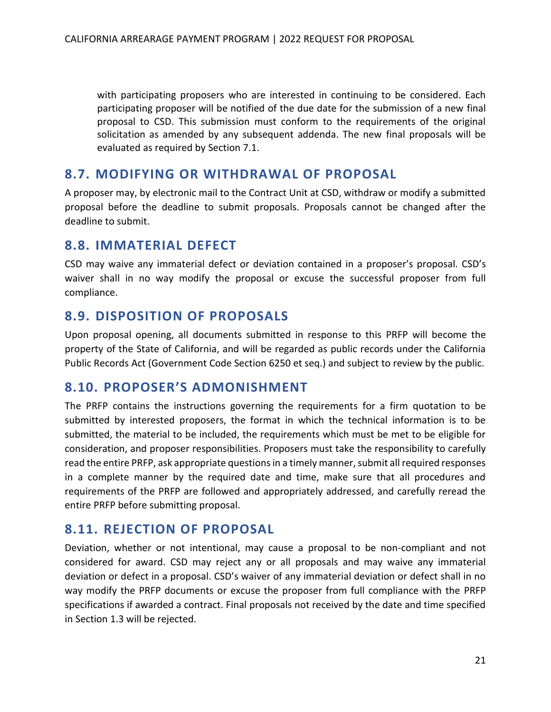with participating proposers who are interested in continuing to be considered. Each participating proposer will be notified of the due date for the submission of a new final proposal to CSD. This submission must conform to the requirements of the original solicitation as amended by any subsequent addenda. The new final proposals will be evaluated as required by Section 7.1.

## <span id="page-21-0"></span>**8.7. MODIFYING OR WITHDRAWAL OF PROPOSAL**

A proposer may, by electronic mail to the Contract Unit at CSD, withdraw or modify a submitted proposal before the deadline to submit proposals. Proposals cannot be changed after the deadline to submit.

## <span id="page-21-1"></span>**8.8. IMMATERIAL DEFECT**

CSD may waive any immaterial defect or deviation contained in a proposer's proposal. CSD's waiver shall in no way modify the proposal or excuse the successful proposer from full compliance.

## <span id="page-21-2"></span>**8.9. DISPOSITION OF PROPOSALS**

Upon proposal opening, all documents submitted in response to this PRFP will become the property of the State of California, and will be regarded as public records under the California Public Records Act (Government Code Section 6250 et seq.) and subject to review by the public.

## <span id="page-21-3"></span>**8.10. PROPOSER'S ADMONISHMENT**

The PRFP contains the instructions governing the requirements for a firm quotation to be submitted by interested proposers, the format in which the technical information is to be submitted, the material to be included, the requirements which must be met to be eligible for consideration, and proposer responsibilities. Proposers must take the responsibility to carefully read the entire PRFP, ask appropriate questions in a timely manner, submit all required responses in a complete manner by the required date and time, make sure that all procedures and requirements of the PRFP are followed and appropriately addressed, and carefully reread the entire PRFP before submitting proposal.

## <span id="page-21-4"></span>**8.11. REJECTION OF PROPOSAL**

Deviation, whether or not intentional, may cause a proposal to be non-compliant and not considered for award. CSD may reject any or all proposals and may waive any immaterial deviation or defect in a proposal. CSD's waiver of any immaterial deviation or defect shall in no way modify the PRFP documents or excuse the proposer from full compliance with the PRFP specifications if awarded a contract. Final proposals not received by the date and time specified in Section 1.3 will be rejected.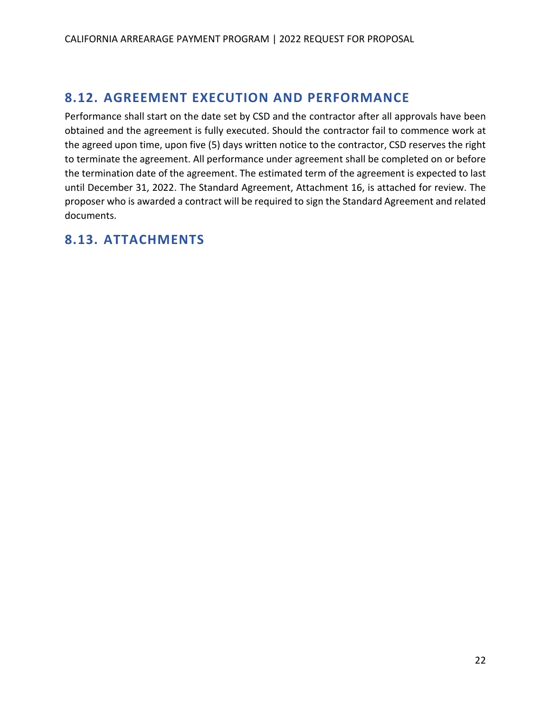## <span id="page-22-0"></span>**8.12. AGREEMENT EXECUTION AND PERFORMANCE**

Performance shall start on the date set by CSD and the contractor after all approvals have been obtained and the agreement is fully executed. Should the contractor fail to commence work at the agreed upon time, upon five (5) days written notice to the contractor, CSD reserves the right to terminate the agreement. All performance under agreement shall be completed on or before the termination date of the agreement. The estimated term of the agreement is expected to last until December 31, 2022. The Standard Agreement, Attachment 16, is attached for review. The proposer who is awarded a contract will be required to sign the Standard Agreement and related documents.

## <span id="page-22-1"></span>**8.13. ATTACHMENTS**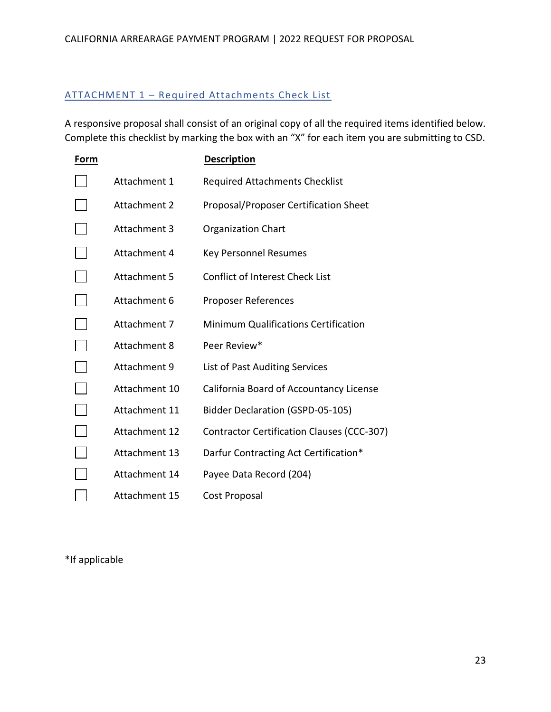### <span id="page-23-0"></span>ATTACHMENT 1 – Required Attachments Check List

A responsive proposal shall consist of an original copy of all the required items identified below. Complete this checklist by marking the box with an "X" for each item you are submitting to CSD.

| Form |                     | <b>Description</b>                          |
|------|---------------------|---------------------------------------------|
|      | Attachment 1        | <b>Required Attachments Checklist</b>       |
|      | Attachment 2        | Proposal/Proposer Certification Sheet       |
|      | <b>Attachment 3</b> | <b>Organization Chart</b>                   |
|      | Attachment 4        | <b>Key Personnel Resumes</b>                |
|      | <b>Attachment 5</b> | <b>Conflict of Interest Check List</b>      |
|      | Attachment 6        | Proposer References                         |
|      | Attachment 7        | <b>Minimum Qualifications Certification</b> |
|      | <b>Attachment 8</b> | Peer Review*                                |
|      | <b>Attachment 9</b> | List of Past Auditing Services              |
|      | Attachment 10       | California Board of Accountancy License     |
|      | Attachment 11       | <b>Bidder Declaration (GSPD-05-105)</b>     |
|      | Attachment 12       | Contractor Certification Clauses (CCC-307)  |
|      | Attachment 13       | Darfur Contracting Act Certification*       |
|      | Attachment 14       | Payee Data Record (204)                     |
|      | Attachment 15       | Cost Proposal                               |

\*If applicable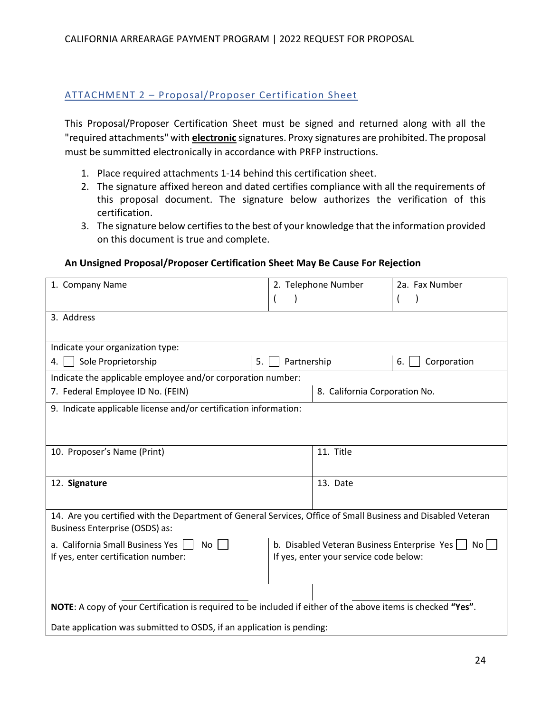### <span id="page-24-0"></span>ATTACHMENT 2 – Proposal/Proposer Certification Sheet

This Proposal/Proposer Certification Sheet must be signed and returned along with all the "required attachments" with **electronic** signatures. Proxy signatures are prohibited. The proposal must be summitted electronically in accordance with PRFP instructions.

- 1. Place required attachments 1-14 behind this certification sheet.
- 2. The signature affixed hereon and dated certifies compliance with all the requirements of this proposal document. The signature below authorizes the verification of this certification.
- 3. The signature below certifies to the best of your knowledge that the information provided on this document is true and complete.

#### **An Unsigned Proposal/Proposer Certification Sheet May Be Cause For Rejection**

| 1. Company Name                                                                                                                                | 2. Telephone Number |                                             | 2a. Fax Number    |
|------------------------------------------------------------------------------------------------------------------------------------------------|---------------------|---------------------------------------------|-------------------|
|                                                                                                                                                |                     |                                             |                   |
| 3. Address                                                                                                                                     |                     |                                             |                   |
|                                                                                                                                                |                     |                                             |                   |
| Indicate your organization type:                                                                                                               |                     |                                             |                   |
| Sole Proprietorship<br>4.                                                                                                                      | Partnership<br>5.   |                                             | Corporation<br>6. |
| Indicate the applicable employee and/or corporation number:                                                                                    |                     |                                             |                   |
| 7. Federal Employee ID No. (FEIN)                                                                                                              |                     | 8. California Corporation No.               |                   |
| 9. Indicate applicable license and/or certification information:                                                                               |                     |                                             |                   |
|                                                                                                                                                |                     |                                             |                   |
|                                                                                                                                                |                     |                                             |                   |
| 10. Proposer's Name (Print)                                                                                                                    |                     | 11. Title                                   |                   |
|                                                                                                                                                |                     |                                             |                   |
| 12. Signature                                                                                                                                  |                     | 13. Date                                    |                   |
|                                                                                                                                                |                     |                                             |                   |
| 14. Are you certified with the Department of General Services, Office of Small Business and Disabled Veteran<br>Business Enterprise (OSDS) as: |                     |                                             |                   |
| a. California Small Business Yes<br>No                                                                                                         |                     | b. Disabled Veteran Business Enterprise Yes | No <sub>1</sub>   |
| If yes, enter your service code below:<br>If yes, enter certification number:                                                                  |                     |                                             |                   |
|                                                                                                                                                |                     |                                             |                   |
|                                                                                                                                                |                     |                                             |                   |
| NOTE: A copy of your Certification is required to be included if either of the above items is checked "Yes".                                   |                     |                                             |                   |
| Date application was submitted to OSDS, if an application is pending:                                                                          |                     |                                             |                   |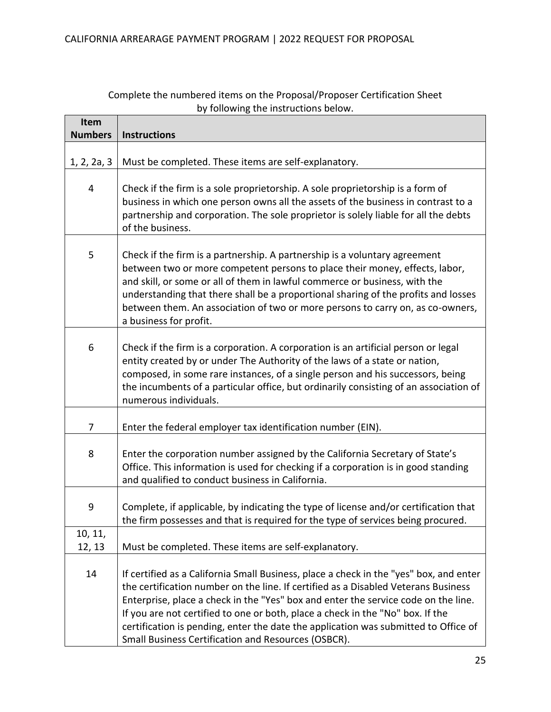| Item           |                                                                                                                                                                                                                                                                                                                                                                                                                                                                                                    |
|----------------|----------------------------------------------------------------------------------------------------------------------------------------------------------------------------------------------------------------------------------------------------------------------------------------------------------------------------------------------------------------------------------------------------------------------------------------------------------------------------------------------------|
| <b>Numbers</b> | <b>Instructions</b>                                                                                                                                                                                                                                                                                                                                                                                                                                                                                |
| 1, 2, 2a, 3    | Must be completed. These items are self-explanatory.                                                                                                                                                                                                                                                                                                                                                                                                                                               |
| 4              | Check if the firm is a sole proprietorship. A sole proprietorship is a form of<br>business in which one person owns all the assets of the business in contrast to a<br>partnership and corporation. The sole proprietor is solely liable for all the debts<br>of the business.                                                                                                                                                                                                                     |
| 5              | Check if the firm is a partnership. A partnership is a voluntary agreement<br>between two or more competent persons to place their money, effects, labor,<br>and skill, or some or all of them in lawful commerce or business, with the<br>understanding that there shall be a proportional sharing of the profits and losses<br>between them. An association of two or more persons to carry on, as co-owners,<br>a business for profit.                                                          |
| 6              | Check if the firm is a corporation. A corporation is an artificial person or legal<br>entity created by or under The Authority of the laws of a state or nation,<br>composed, in some rare instances, of a single person and his successors, being<br>the incumbents of a particular office, but ordinarily consisting of an association of<br>numerous individuals.                                                                                                                               |
| 7              | Enter the federal employer tax identification number (EIN).                                                                                                                                                                                                                                                                                                                                                                                                                                        |
| 8              | Enter the corporation number assigned by the California Secretary of State's<br>Office. This information is used for checking if a corporation is in good standing<br>and qualified to conduct business in California.                                                                                                                                                                                                                                                                             |
| 9              | Complete, if applicable, by indicating the type of license and/or certification that<br>the firm possesses and that is required for the type of services being procured.                                                                                                                                                                                                                                                                                                                           |
| 10, 11,        |                                                                                                                                                                                                                                                                                                                                                                                                                                                                                                    |
| 12, 13         | Must be completed. These items are self-explanatory.                                                                                                                                                                                                                                                                                                                                                                                                                                               |
| 14             | If certified as a California Small Business, place a check in the "yes" box, and enter<br>the certification number on the line. If certified as a Disabled Veterans Business<br>Enterprise, place a check in the "Yes" box and enter the service code on the line.<br>If you are not certified to one or both, place a check in the "No" box. If the<br>certification is pending, enter the date the application was submitted to Office of<br>Small Business Certification and Resources (OSBCR). |

### Complete the numbered items on the Proposal/Proposer Certification Sheet by following the instructions below.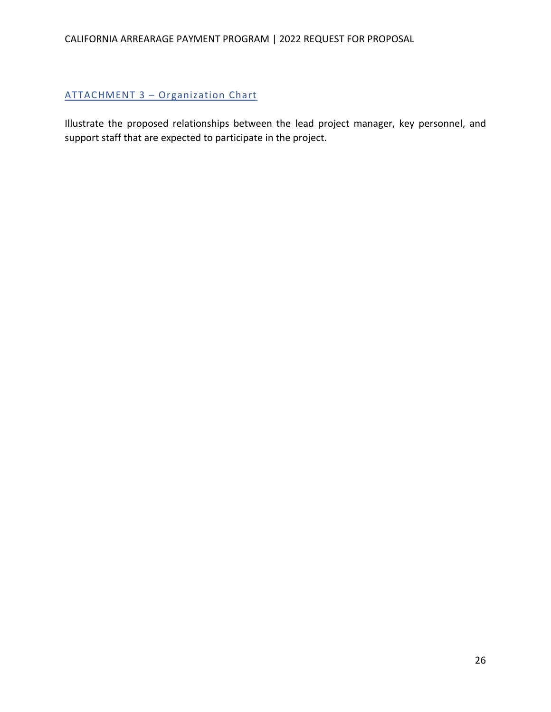## CALIFORNIA ARREARAGE PAYMENT PROGRAM | 2022 REQUEST FOR PROPOSAL

## <span id="page-26-0"></span>ATTACHMENT 3 – Organization Chart

Illustrate the proposed relationships between the lead project manager, key personnel, and support staff that are expected to participate in the project.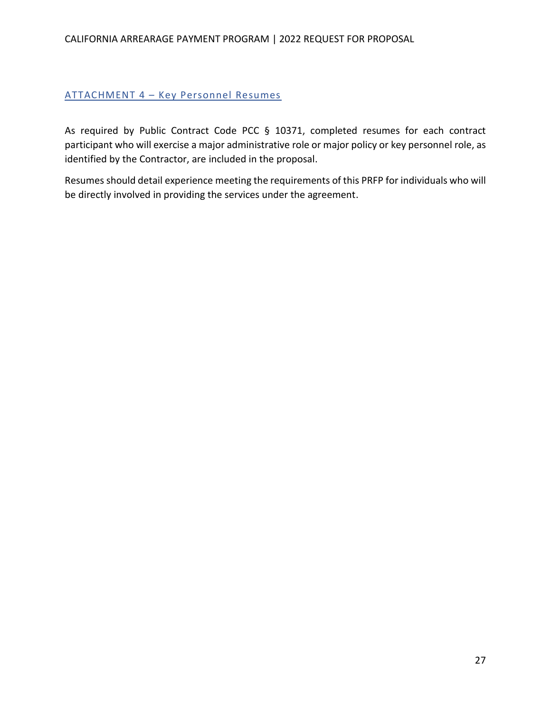#### CALIFORNIA ARREARAGE PAYMENT PROGRAM | 2022 REQUEST FOR PROPOSAL

#### <span id="page-27-0"></span>ATTACHMENT 4 – Key Personnel Resumes

As required by Public Contract Code PCC § 10371, completed resumes for each contract participant who will exercise a major administrative role or major policy or key personnel role, as identified by the Contractor, are included in the proposal.

Resumes should detail experience meeting the requirements of this PRFP for individuals who will be directly involved in providing the services under the agreement.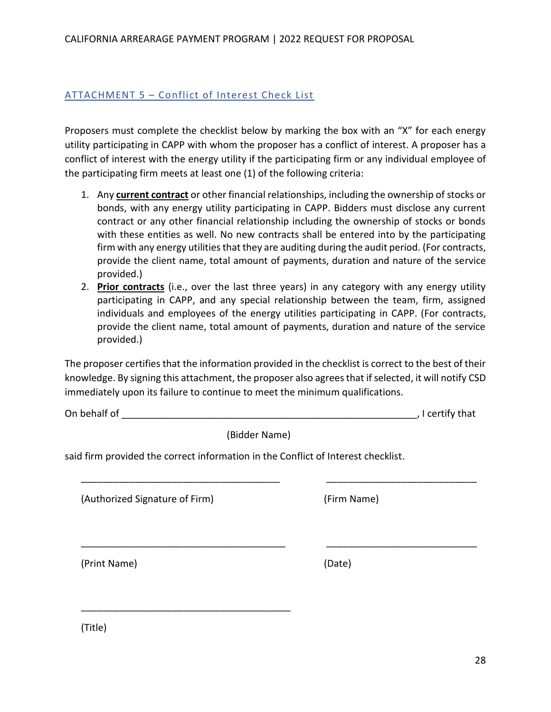#### <span id="page-28-0"></span>ATTACHMENT 5 - Conflict of Interest Check List

Proposers must complete the checklist below by marking the box with an "X" for each energy utility participating in CAPP with whom the proposer has a conflict of interest. A proposer has a conflict of interest with the energy utility if the participating firm or any individual employee of the participating firm meets at least one (1) of the following criteria:

- 1. Any **current contract** or other financial relationships, including the ownership of stocks or bonds, with any energy utility participating in CAPP. Bidders must disclose any current contract or any other financial relationship including the ownership of stocks or bonds with these entities as well. No new contracts shall be entered into by the participating firm with any energy utilities that they are auditing during the audit period. (For contracts, provide the client name, total amount of payments, duration and nature of the service provided.)
- 2. **Prior contracts** (i.e., over the last three years) in any category with any energy utility participating in CAPP, and any special relationship between the team, firm, assigned individuals and employees of the energy utilities participating in CAPP. (For contracts, provide the client name, total amount of payments, duration and nature of the service provided.)

The proposer certifies that the information provided in the checklist is correct to the best of their knowledge. By signing this attachment, the proposer also agrees that if selected, it will notify CSD immediately upon its failure to continue to meet the minimum qualifications.

\_\_\_\_\_\_\_\_\_\_\_\_\_\_\_\_\_\_\_\_\_\_\_\_\_\_\_\_\_\_\_\_\_\_\_\_\_ \_\_\_\_\_\_\_\_\_\_\_\_\_\_\_\_\_\_\_\_\_\_\_\_\_\_\_\_

\_\_\_\_\_\_\_\_\_\_\_\_\_\_\_\_\_\_\_\_\_\_\_\_\_\_\_\_\_\_\_\_\_\_\_\_\_\_ \_\_\_\_\_\_\_\_\_\_\_\_\_\_\_\_\_\_\_\_\_\_\_\_\_\_\_\_

On behalf of \_\_\_\_\_\_\_\_\_\_\_\_\_\_\_\_\_\_\_\_\_\_\_\_\_\_\_\_\_\_\_\_\_\_\_\_\_\_\_\_\_\_\_\_\_\_\_\_\_\_\_\_\_\_\_, I certify that

(Bidder Name)

said firm provided the correct information in the Conflict of Interest checklist.

(Authorized Signature of Firm) (Firm Name)

\_\_\_\_\_\_\_\_\_\_\_\_\_\_\_\_\_\_\_\_\_\_\_\_\_\_\_\_\_\_\_\_\_\_\_\_\_\_\_

(Print Name) (Date)

(Title)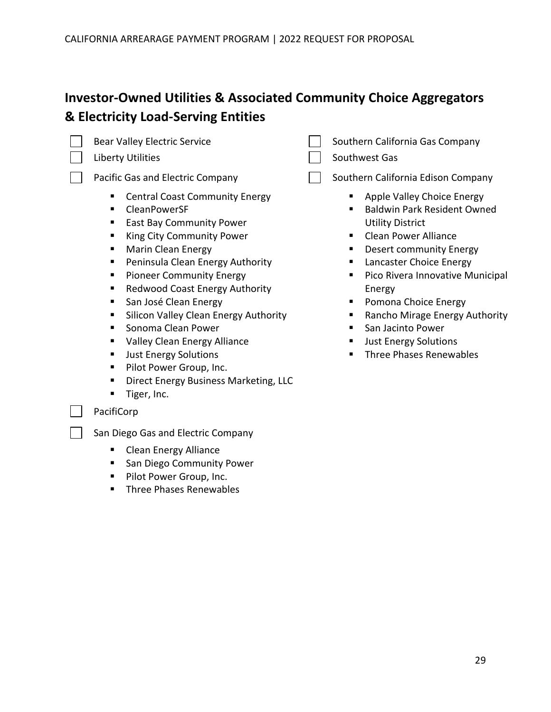## **Investor-Owned Utilities & Associated Community Choice Aggregators & Electricity Load-Serving Entities**



- Central Coast Community Energy
- CleanPowerSF
- East Bay Community Power
- King City Community Power
- Marin Clean Energy
- Peninsula Clean Energy Authority
- **•** Pioneer Community Energy
- Redwood Coast Energy Authority
- San José Clean Energy
- **E** Silicon Valley Clean Energy Authority
- Sonoma Clean Power
- Valley Clean Energy Alliance
- **■** Just Energy Solutions
- Pilot Power Group, Inc.
- **E** Direct Energy Business Marketing, LLC
- Tiger, Inc.

#### PacifiCorp

San Diego Gas and Electric Company

- Clean Energy Alliance
- San Diego Community Power
- Pilot Power Group, Inc.
- **E** Three Phases Renewables
- Bear Valley Electric Service Supersmanning Southern California Gas Company
- Liberty Utilities November 2012 1 Southwest Gas

Pacific Gas and Electric Company  $\Box$  Southern California Edison Company

- Apple Valley Choice Energy
- **Baldwin Park Resident Owned** Utility District
- Clean Power Alliance
- Desert community Energy
- **E** Lancaster Choice Energy
- Pico Rivera Innovative Municipal Energy
- Pomona Choice Energy
- Rancho Mirage Energy Authority
- San Jacinto Power
- **Just Energy Solutions**
- Three Phases Renewables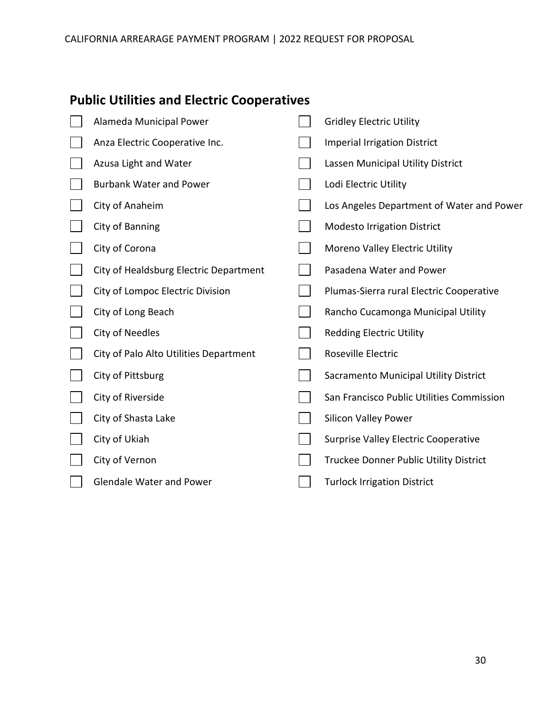## **Public Utilities and Electric Cooperatives**

| Alameda Municipal Power                | <b>Gridley Electric Utility</b>             |
|----------------------------------------|---------------------------------------------|
| Anza Electric Cooperative Inc.         | <b>Imperial Irrigation District</b>         |
| Azusa Light and Water                  | Lassen Municipal Utility District           |
| <b>Burbank Water and Power</b>         | Lodi Electric Utility                       |
| City of Anaheim                        | Los Angeles Department of Water and Power   |
| City of Banning                        | <b>Modesto Irrigation District</b>          |
| City of Corona                         | Moreno Valley Electric Utility              |
| City of Healdsburg Electric Department | Pasadena Water and Power                    |
| City of Lompoc Electric Division       | Plumas-Sierra rural Electric Cooperative    |
| City of Long Beach                     | Rancho Cucamonga Municipal Utility          |
| City of Needles                        | <b>Redding Electric Utility</b>             |
| City of Palo Alto Utilities Department | Roseville Electric                          |
| City of Pittsburg                      | Sacramento Municipal Utility District       |
| City of Riverside                      | San Francisco Public Utilities Commission   |
| City of Shasta Lake                    | <b>Silicon Valley Power</b>                 |
| City of Ukiah                          | <b>Surprise Valley Electric Cooperative</b> |
| City of Vernon                         | Truckee Donner Public Utility District      |
| <b>Glendale Water and Power</b>        | <b>Turlock Irrigation District</b>          |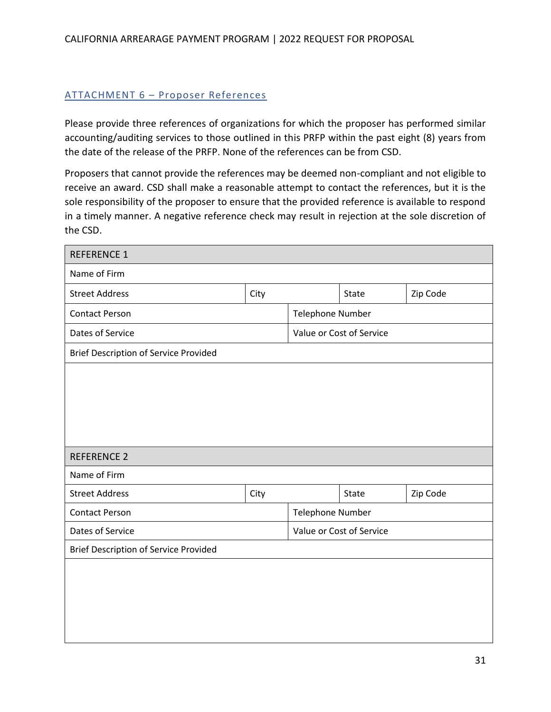#### <span id="page-31-0"></span>ATTACHMENT 6 – Proposer References

Please provide three references of organizations for which the proposer has performed similar accounting/auditing services to those outlined in this PRFP within the past eight (8) years from the date of the release of the PRFP. None of the references can be from CSD.

Proposers that cannot provide the references may be deemed non-compliant and not eligible to receive an award. CSD shall make a reasonable attempt to contact the references, but it is the sole responsibility of the proposer to ensure that the provided reference is available to respond in a timely manner. A negative reference check may result in rejection at the sole discretion of the CSD.

| <b>REFERENCE 1</b>                           |      |                          |              |          |
|----------------------------------------------|------|--------------------------|--------------|----------|
| Name of Firm                                 |      |                          |              |          |
| <b>Street Address</b>                        | City |                          | <b>State</b> | Zip Code |
| <b>Contact Person</b>                        |      | Telephone Number         |              |          |
| Dates of Service                             |      | Value or Cost of Service |              |          |
| <b>Brief Description of Service Provided</b> |      |                          |              |          |
|                                              |      |                          |              |          |
|                                              |      |                          |              |          |
|                                              |      |                          |              |          |
|                                              |      |                          |              |          |
| <b>REFERENCE 2</b>                           |      |                          |              |          |
| Name of Firm                                 |      |                          |              |          |
| <b>Street Address</b>                        | City |                          | <b>State</b> | Zip Code |
| <b>Contact Person</b>                        |      | Telephone Number         |              |          |
| Dates of Service                             |      | Value or Cost of Service |              |          |
| <b>Brief Description of Service Provided</b> |      |                          |              |          |
|                                              |      |                          |              |          |
|                                              |      |                          |              |          |
|                                              |      |                          |              |          |
|                                              |      |                          |              |          |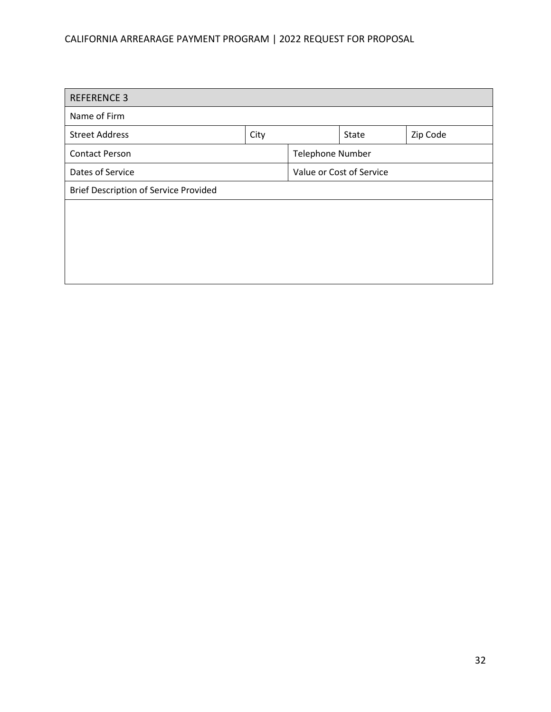## CALIFORNIA ARREARAGE PAYMENT PROGRAM | 2022 REQUEST FOR PROPOSAL

| <b>REFERENCE 3</b>                           |      |                         |       |          |  |
|----------------------------------------------|------|-------------------------|-------|----------|--|
| Name of Firm                                 |      |                         |       |          |  |
| <b>Street Address</b>                        | City |                         | State | Zip Code |  |
| <b>Contact Person</b>                        |      | <b>Telephone Number</b> |       |          |  |
| Dates of Service<br>Value or Cost of Service |      |                         |       |          |  |
| <b>Brief Description of Service Provided</b> |      |                         |       |          |  |
|                                              |      |                         |       |          |  |
|                                              |      |                         |       |          |  |
|                                              |      |                         |       |          |  |
|                                              |      |                         |       |          |  |
|                                              |      |                         |       |          |  |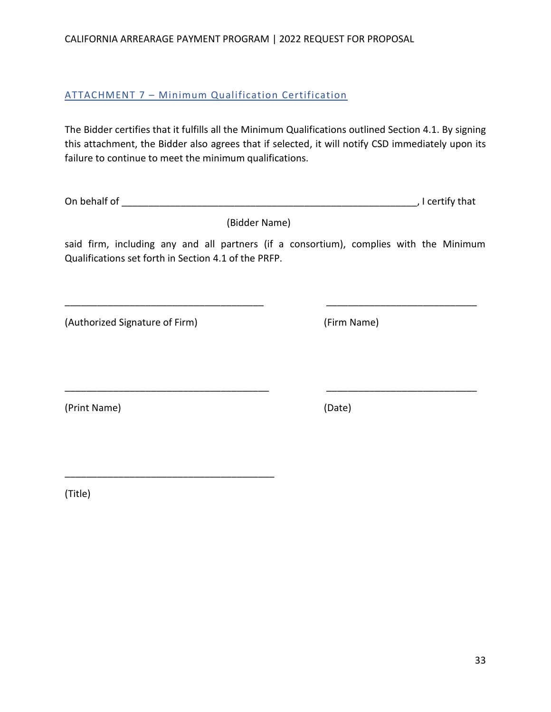33

CALIFORNIA ARREARAGE PAYMENT PROGRAM | 2022 REQUEST FOR PROPOSAL

## <span id="page-33-0"></span>ATTACHMENT 7 – Minimum Qualification Certification

The Bidder certifies that it fulfills all the Minimum Qualifications outlined Section 4.1. By signing this attachment, the Bidder also agrees that if selected, it will notify CSD immediately upon its failure to continue to meet the minimum qualifications.

On behalf of \_\_\_\_\_\_\_\_\_\_\_\_\_\_\_\_\_\_\_\_\_\_\_\_\_\_\_\_\_\_\_\_\_\_\_\_\_\_\_\_\_\_\_\_\_\_\_\_\_\_\_\_\_\_\_, I certify that

(Bidder Name)

said firm, including any and all partners (if a consortium), complies with the Minimum Qualifications set forth in Section 4.1 of the PRFP.

\_\_\_\_\_\_\_\_\_\_\_\_\_\_\_\_\_\_\_\_\_\_\_\_\_\_\_\_\_\_\_\_\_\_\_\_\_ \_\_\_\_\_\_\_\_\_\_\_\_\_\_\_\_\_\_\_\_\_\_\_\_\_\_\_\_

\_\_\_\_\_\_\_\_\_\_\_\_\_\_\_\_\_\_\_\_\_\_\_\_\_\_\_\_\_\_\_\_\_\_\_\_\_\_ \_\_\_\_\_\_\_\_\_\_\_\_\_\_\_\_\_\_\_\_\_\_\_\_\_\_\_\_

(Authorized Signature of Firm) (Firm Name)

\_\_\_\_\_\_\_\_\_\_\_\_\_\_\_\_\_\_\_\_\_\_\_\_\_\_\_\_\_\_\_\_\_\_\_\_\_\_\_

(Print Name) (Date)

(Title)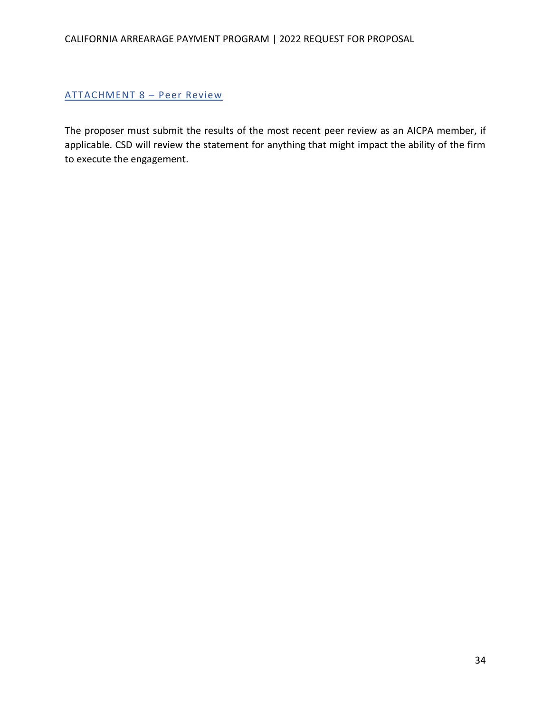#### <span id="page-34-0"></span>ATTACHMENT 8 – Peer Review

The proposer must submit the results of the most recent peer review as an AICPA member, if applicable. CSD will review the statement for anything that might impact the ability of the firm to execute the engagement.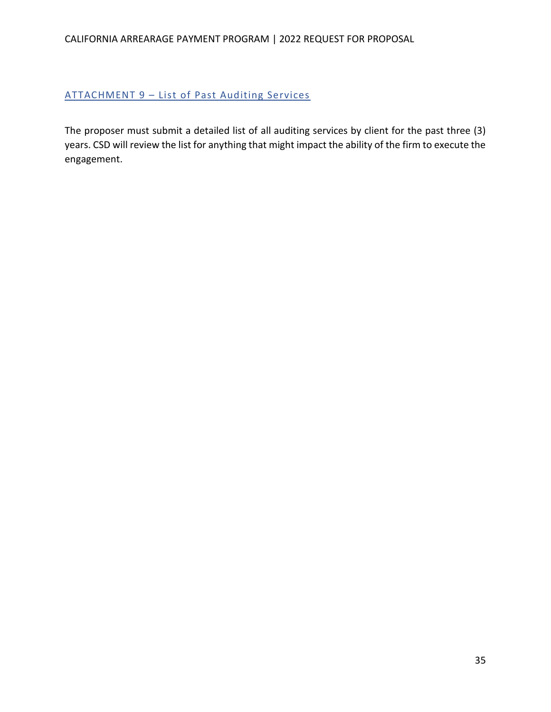## <span id="page-35-0"></span>ATTACHMENT 9 – List of Past Auditing Services

The proposer must submit a detailed list of all auditing services by client for the past three (3) years. CSD will review the list for anything that might impact the ability of the firm to execute the engagement.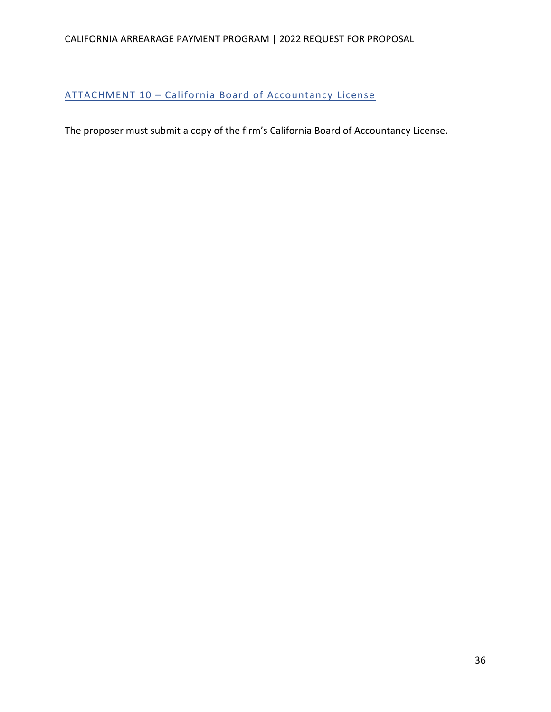### CALIFORNIA ARREARAGE PAYMENT PROGRAM | 2022 REQUEST FOR PROPOSAL

### <span id="page-36-0"></span>ATTACHMENT 10 – California Board of Accountancy License

The proposer must submit a copy of the firm's California Board of Accountancy License.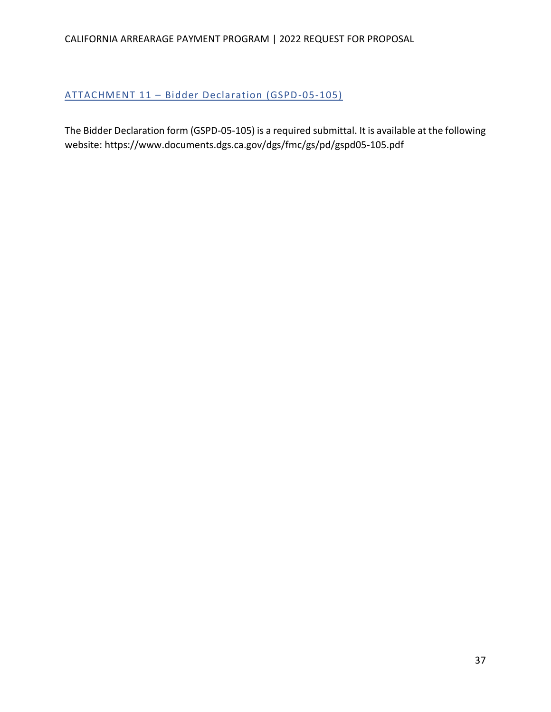## <span id="page-37-0"></span>ATTACHMENT 11 – Bidder Declaration (GSPD-05-105)

The Bidder Declaration form (GSPD-05-105) is a required submittal. It is available at the following website: https://www.documents.dgs.ca.gov/dgs/fmc/gs/pd/gspd05-105.pdf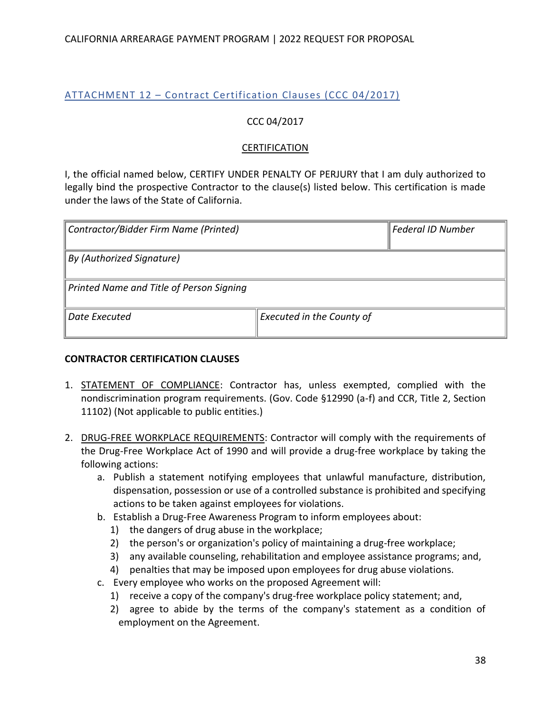## <span id="page-38-0"></span>ATTACHMENT 12 – Contract Certification Clauses (CCC 04/2017)

### CCC 04/2017

#### **CERTIFICATION**

I, the official named below, CERTIFY UNDER PENALTY OF PERJURY that I am duly authorized to legally bind the prospective Contractor to the clause(s) listed below. This certification is made under the laws of the State of California.

| Contractor/Bidder Firm Name (Printed)    |                           | Federal ID Number |
|------------------------------------------|---------------------------|-------------------|
| <b>By (Authorized Signature)</b>         |                           |                   |
| Printed Name and Title of Person Signing |                           |                   |
| Date Executed                            | Executed in the County of |                   |

#### **CONTRACTOR CERTIFICATION CLAUSES**

- 1. STATEMENT OF COMPLIANCE: Contractor has, unless exempted, complied with the nondiscrimination program requirements. (Gov. Code §12990 (a-f) and CCR, Title 2, Section 11102) (Not applicable to public entities.)
- 2. DRUG-FREE WORKPLACE REQUIREMENTS: Contractor will comply with the requirements of the Drug-Free Workplace Act of 1990 and will provide a drug-free workplace by taking the following actions:
	- a. Publish a statement notifying employees that unlawful manufacture, distribution, dispensation, possession or use of a controlled substance is prohibited and specifying actions to be taken against employees for violations.
	- b. Establish a Drug-Free Awareness Program to inform employees about:
		- 1) the dangers of drug abuse in the workplace;
		- 2) the person's or organization's policy of maintaining a drug-free workplace;
		- 3) any available counseling, rehabilitation and employee assistance programs; and,
		- 4) penalties that may be imposed upon employees for drug abuse violations.
	- c. Every employee who works on the proposed Agreement will:
		- 1) receive a copy of the company's drug-free workplace policy statement; and,
		- 2) agree to abide by the terms of the company's statement as a condition of employment on the Agreement.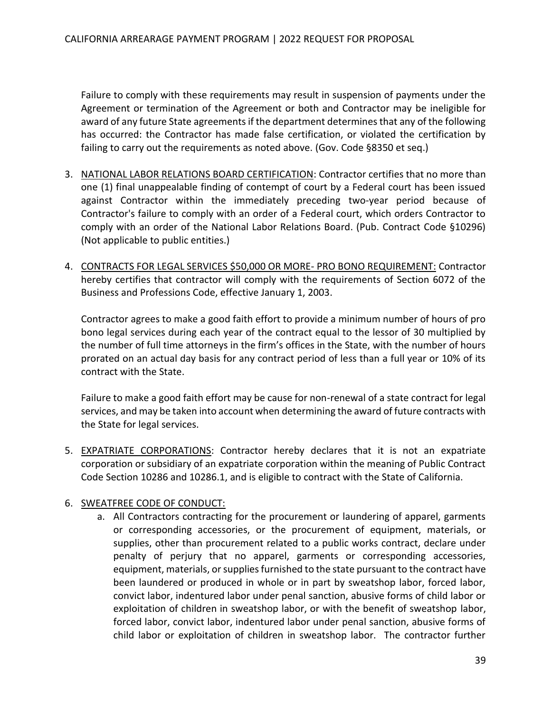Failure to comply with these requirements may result in suspension of payments under the Agreement or termination of the Agreement or both and Contractor may be ineligible for award of any future State agreements if the department determines that any of the following has occurred: the Contractor has made false certification, or violated the certification by failing to carry out the requirements as noted above. (Gov. Code §8350 et seq.)

- 3. NATIONAL LABOR RELATIONS BOARD CERTIFICATION: Contractor certifies that no more than one (1) final unappealable finding of contempt of court by a Federal court has been issued against Contractor within the immediately preceding two-year period because of Contractor's failure to comply with an order of a Federal court, which orders Contractor to comply with an order of the National Labor Relations Board. (Pub. Contract Code §10296) (Not applicable to public entities.)
- 4. CONTRACTS FOR LEGAL SERVICES \$50,000 OR MORE- PRO BONO REQUIREMENT: Contractor hereby certifies that contractor will comply with the requirements of Section 6072 of the Business and Professions Code, effective January 1, 2003.

Contractor agrees to make a good faith effort to provide a minimum number of hours of pro bono legal services during each year of the contract equal to the lessor of 30 multiplied by the number of full time attorneys in the firm's offices in the State, with the number of hours prorated on an actual day basis for any contract period of less than a full year or 10% of its contract with the State.

Failure to make a good faith effort may be cause for non-renewal of a state contract for legal services, and may be taken into account when determining the award of future contracts with the State for legal services.

5. EXPATRIATE CORPORATIONS: Contractor hereby declares that it is not an expatriate corporation or subsidiary of an expatriate corporation within the meaning of Public Contract Code Section 10286 and 10286.1, and is eligible to contract with the State of California.

### 6. SWEATFREE CODE OF CONDUCT:

a. All Contractors contracting for the procurement or laundering of apparel, garments or corresponding accessories, or the procurement of equipment, materials, or supplies, other than procurement related to a public works contract, declare under penalty of perjury that no apparel, garments or corresponding accessories, equipment, materials, or supplies furnished to the state pursuant to the contract have been laundered or produced in whole or in part by sweatshop labor, forced labor, convict labor, indentured labor under penal sanction, abusive forms of child labor or exploitation of children in sweatshop labor, or with the benefit of sweatshop labor, forced labor, convict labor, indentured labor under penal sanction, abusive forms of child labor or exploitation of children in sweatshop labor. The contractor further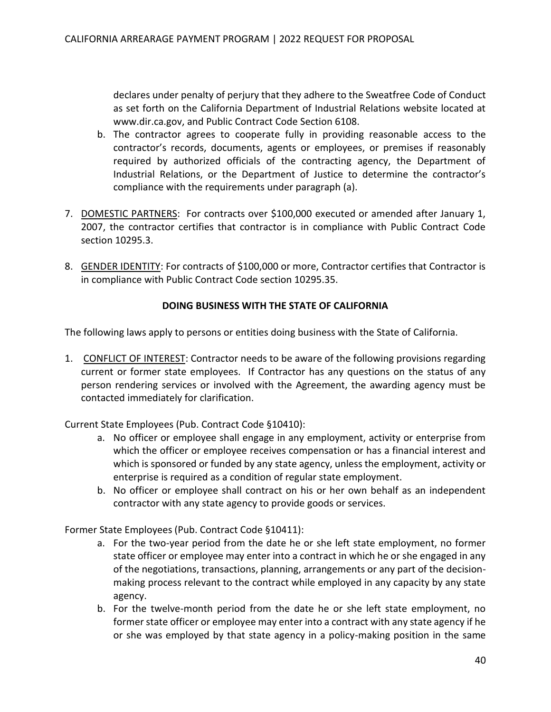declares under penalty of perjury that they adhere to the Sweatfree Code of Conduct as set forth on the California Department of Industrial Relations website located at [www.dir.ca.gov,](http://www.dir.ca.gov/) and Public Contract Code Section 6108.

- b. The contractor agrees to cooperate fully in providing reasonable access to the contractor's records, documents, agents or employees, or premises if reasonably required by authorized officials of the contracting agency, the Department of Industrial Relations, or the Department of Justice to determine the contractor's compliance with the requirements under paragraph (a).
- 7. DOMESTIC PARTNERS: For contracts over \$100,000 executed or amended after January 1, 2007, the contractor certifies that contractor is in compliance with Public Contract Code section 10295.3.
- 8. GENDER IDENTITY: For contracts of \$100,000 or more, Contractor certifies that Contractor is in compliance with Public Contract Code section 10295.35.

#### **DOING BUSINESS WITH THE STATE OF CALIFORNIA**

The following laws apply to persons or entities doing business with the State of California.

1. CONFLICT OF INTEREST: Contractor needs to be aware of the following provisions regarding current or former state employees. If Contractor has any questions on the status of any person rendering services or involved with the Agreement, the awarding agency must be contacted immediately for clarification.

Current State Employees (Pub. Contract Code §10410):

- a. No officer or employee shall engage in any employment, activity or enterprise from which the officer or employee receives compensation or has a financial interest and which is sponsored or funded by any state agency, unless the employment, activity or enterprise is required as a condition of regular state employment.
- b. No officer or employee shall contract on his or her own behalf as an independent contractor with any state agency to provide goods or services.

Former State Employees (Pub. Contract Code §10411):

- a. For the two-year period from the date he or she left state employment, no former state officer or employee may enter into a contract in which he or she engaged in any of the negotiations, transactions, planning, arrangements or any part of the decisionmaking process relevant to the contract while employed in any capacity by any state agency.
- b. For the twelve-month period from the date he or she left state employment, no former state officer or employee may enter into a contract with any state agency if he or she was employed by that state agency in a policy-making position in the same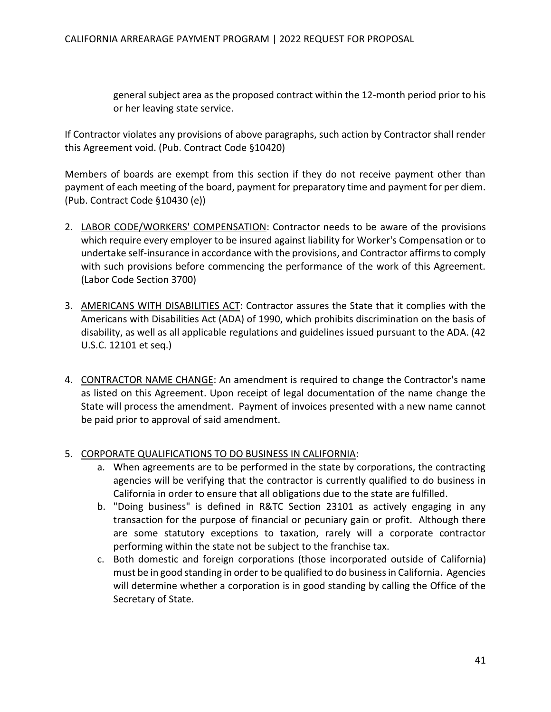general subject area as the proposed contract within the 12-month period prior to his or her leaving state service.

If Contractor violates any provisions of above paragraphs, such action by Contractor shall render this Agreement void. (Pub. Contract Code §10420)

Members of boards are exempt from this section if they do not receive payment other than payment of each meeting of the board, payment for preparatory time and payment for per diem. (Pub. Contract Code §10430 (e))

- 2. LABOR CODE/WORKERS' COMPENSATION: Contractor needs to be aware of the provisions which require every employer to be insured against liability for Worker's Compensation or to undertake self-insurance in accordance with the provisions, and Contractor affirms to comply with such provisions before commencing the performance of the work of this Agreement. (Labor Code Section 3700)
- 3. AMERICANS WITH DISABILITIES ACT: Contractor assures the State that it complies with the Americans with Disabilities Act (ADA) of 1990, which prohibits discrimination on the basis of disability, as well as all applicable regulations and guidelines issued pursuant to the ADA. (42 U.S.C. 12101 et seq.)
- 4. CONTRACTOR NAME CHANGE: An amendment is required to change the Contractor's name as listed on this Agreement. Upon receipt of legal documentation of the name change the State will process the amendment. Payment of invoices presented with a new name cannot be paid prior to approval of said amendment.
- 5. CORPORATE QUALIFICATIONS TO DO BUSINESS IN CALIFORNIA:
	- a. When agreements are to be performed in the state by corporations, the contracting agencies will be verifying that the contractor is currently qualified to do business in California in order to ensure that all obligations due to the state are fulfilled.
	- b. "Doing business" is defined in R&TC Section 23101 as actively engaging in any transaction for the purpose of financial or pecuniary gain or profit. Although there are some statutory exceptions to taxation, rarely will a corporate contractor performing within the state not be subject to the franchise tax.
	- c. Both domestic and foreign corporations (those incorporated outside of California) must be in good standing in order to be qualified to do business in California. Agencies will determine whether a corporation is in good standing by calling the Office of the Secretary of State.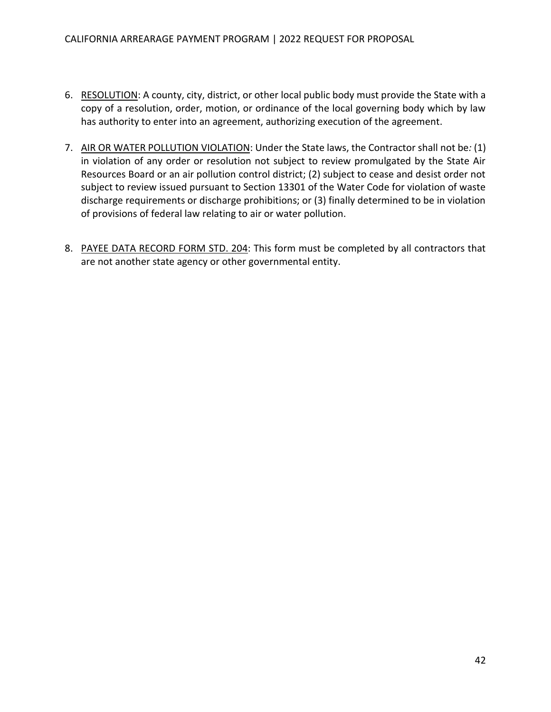- 6. RESOLUTION: A county, city, district, or other local public body must provide the State with a copy of a resolution, order, motion, or ordinance of the local governing body which by law has authority to enter into an agreement, authorizing execution of the agreement.
- 7. AIR OR WATER POLLUTION VIOLATION: Under the State laws, the Contractor shall not be*:* (1) in violation of any order or resolution not subject to review promulgated by the State Air Resources Board or an air pollution control district; (2) subject to cease and desist order not subject to review issued pursuant to Section 13301 of the Water Code for violation of waste discharge requirements or discharge prohibitions; or (3) finally determined to be in violation of provisions of federal law relating to air or water pollution.
- 8. PAYEE DATA RECORD FORM STD. 204: This form must be completed by all contractors that are not another state agency or other governmental entity.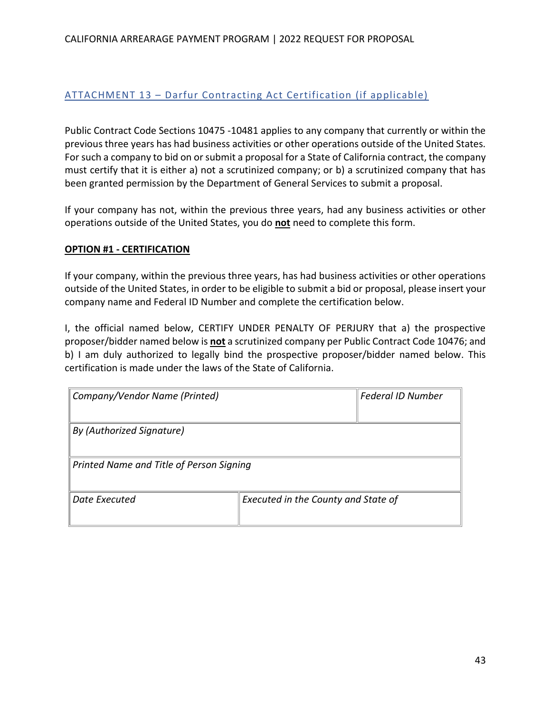#### CALIFORNIA ARREARAGE PAYMENT PROGRAM | 2022 REQUEST FOR PROPOSAL

## <span id="page-43-0"></span>ATTACHMENT 13 – Darfur Contracting Act Certification (if applicable)

Public Contract Code Sections 10475 -10481 applies to any company that currently or within the previous three years has had business activities or other operations outside of the United States. For such a company to bid on or submit a proposal for a State of California contract, the company must certify that it is either a) not a scrutinized company; or b) a scrutinized company that has been granted permission by the Department of General Services to submit a proposal.

If your company has not, within the previous three years, had any business activities or other operations outside of the United States, you do **not** need to complete this form.

#### **OPTION #1 - CERTIFICATION**

If your company, within the previous three years, has had business activities or other operations outside of the United States, in order to be eligible to submit a bid or proposal, please insert your company name and Federal ID Number and complete the certification below.

I, the official named below, CERTIFY UNDER PENALTY OF PERJURY that a) the prospective proposer/bidder named below is **not** a scrutinized company per Public Contract Code 10476; and b) I am duly authorized to legally bind the prospective proposer/bidder named below. This certification is made under the laws of the State of California.

| Company/Vendor Name (Printed)            | <b>Federal ID Number</b>            |  |  |  |  |  |  |  |
|------------------------------------------|-------------------------------------|--|--|--|--|--|--|--|
| By (Authorized Signature)                |                                     |  |  |  |  |  |  |  |
| Printed Name and Title of Person Signing |                                     |  |  |  |  |  |  |  |
| Date Executed                            | Executed in the County and State of |  |  |  |  |  |  |  |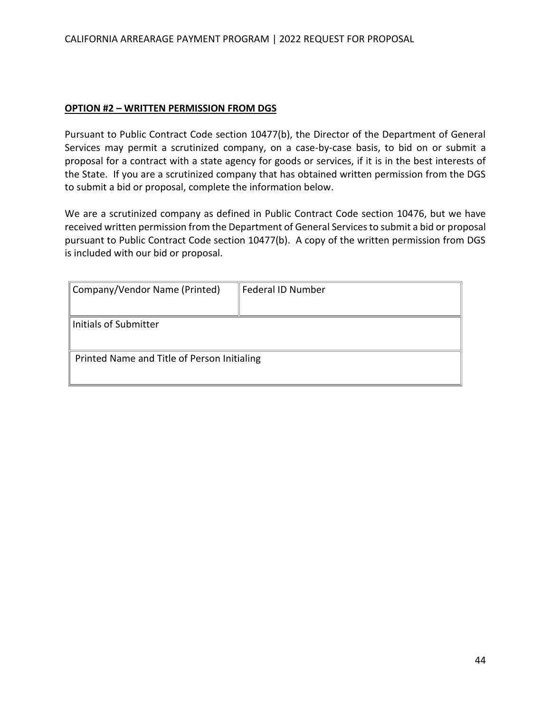#### **OPTION #2 – WRITTEN PERMISSION FROM DGS**

Pursuant to Public Contract Code section 10477(b), the Director of the Department of General Services may permit a scrutinized company, on a case-by-case basis, to bid on or submit a proposal for a contract with a state agency for goods or services, if it is in the best interests of the State. If you are a scrutinized company that has obtained written permission from the DGS to submit a bid or proposal, complete the information below.

We are a scrutinized company as defined in Public Contract Code section 10476, but we have received written permission from the Department of General Services to submit a bid or proposal pursuant to Public Contract Code section 10477(b). A copy of the written permission from DGS is included with our bid or proposal.

| Company/Vendor Name (Printed)               | Federal ID Number |  |  |  |  |  |  |  |
|---------------------------------------------|-------------------|--|--|--|--|--|--|--|
|                                             |                   |  |  |  |  |  |  |  |
| Initials of Submitter                       |                   |  |  |  |  |  |  |  |
|                                             |                   |  |  |  |  |  |  |  |
| Printed Name and Title of Person Initialing |                   |  |  |  |  |  |  |  |
|                                             |                   |  |  |  |  |  |  |  |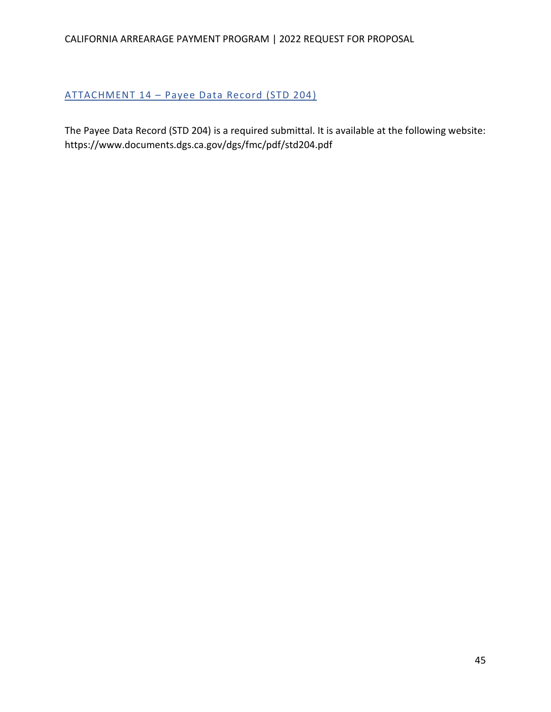## <span id="page-45-0"></span>ATTACHMENT 14 – Payee Data Record (STD 204)

The Payee Data Record (STD 204) is a required submittal. It is available at the following website: <https://www.documents.dgs.ca.gov/dgs/fmc/pdf/std204.pdf>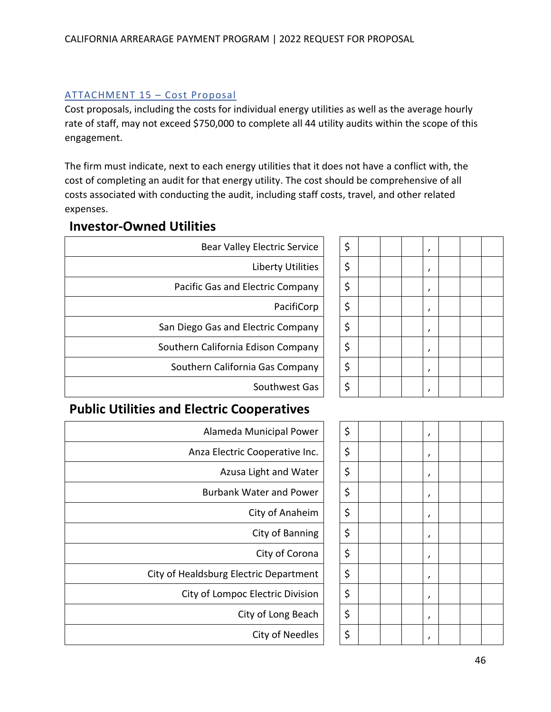## <span id="page-46-0"></span>ATTACHMENT 15 – Cost Proposal

Cost proposals, including the costs for individual energy utilities as well as the average hourly rate of staff, may not exceed \$750,000 to complete all 44 utility audits within the scope of this engagement.

The firm must indicate, next to each energy utilities that it does not have a conflict with, the cost of completing an audit for that energy utility. The cost should be comprehensive of all costs associated with conducting the audit, including staff costs, travel, and other related expenses.

| <b>Investor-Owned Utilities</b> |  |
|---------------------------------|--|
|---------------------------------|--|

| <b>Bear Valley Electric Service</b> | \$ |  |  |
|-------------------------------------|----|--|--|
| Liberty Utilities                   | \$ |  |  |
| Pacific Gas and Electric Company    | \$ |  |  |
| PacifiCorp                          | \$ |  |  |
| San Diego Gas and Electric Company  | \$ |  |  |
| Southern California Edison Company  | \$ |  |  |
| Southern California Gas Company     | \$ |  |  |
| Southwest Gas                       | \$ |  |  |

| <b>Electric Service</b> | \$ |  | , |  |  |
|-------------------------|----|--|---|--|--|
| Liberty Utilities       | \$ |  | , |  |  |
| ectric Company          | \$ |  | , |  |  |
| PacifiCorp              | \$ |  | , |  |  |
| ectric Company          | \$ |  | , |  |  |
| dison Company           | \$ |  | , |  |  |
| a Gas Company           | \$ |  | , |  |  |
| Southwest Gas           | \$ |  |   |  |  |

## **Public Utilities and Electric Cooperatives**

| Alameda Municipal Power                | \$ |  | , |
|----------------------------------------|----|--|---|
| Anza Electric Cooperative Inc.         | \$ |  | , |
| Azusa Light and Water                  | \$ |  | , |
| <b>Burbank Water and Power</b>         | \$ |  | , |
| City of Anaheim                        | \$ |  | , |
| City of Banning                        | \$ |  | , |
| City of Corona                         | \$ |  | , |
| City of Healdsburg Electric Department | \$ |  | , |
| City of Lompoc Electric Division       | \$ |  | , |
| City of Long Beach                     | \$ |  | , |
| City of Needles                        | \$ |  | , |

| <b>Aunicipal Power</b>   | \$ |  | , |  |  |
|--------------------------|----|--|---|--|--|
| Cooperative Inc.         | \$ |  | , |  |  |
| <b>Light and Water</b>   | \$ |  | , |  |  |
| ater and Power           | \$ |  | , |  |  |
| City of Anaheim          | \$ |  | , |  |  |
| City of Banning          | \$ |  | , |  |  |
| City of Corona           | \$ |  | , |  |  |
| tric Department          | \$ |  | , |  |  |
| <b>Electric Division</b> | \$ |  | , |  |  |
| y of Long Beach          | \$ |  | , |  |  |
| City of Needles          | \$ |  | , |  |  |
|                          |    |  |   |  |  |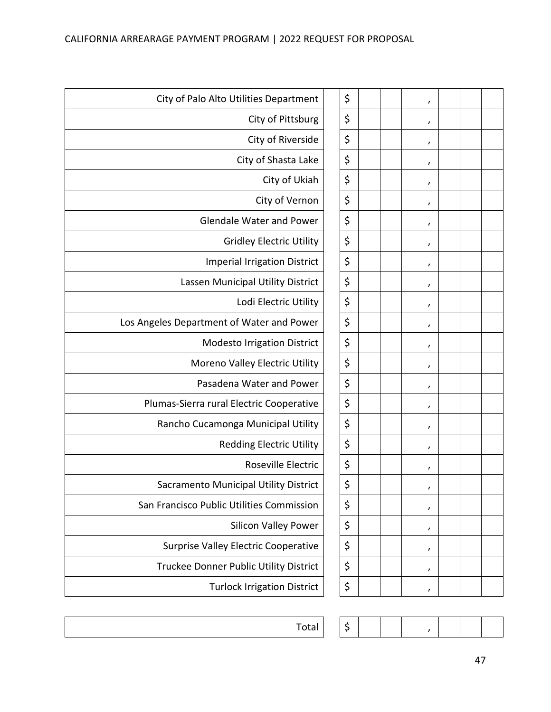| City of Palo Alto Utilities Department      | \$ |  | , |  |  |
|---------------------------------------------|----|--|---|--|--|
| City of Pittsburg                           | \$ |  | , |  |  |
| City of Riverside                           | \$ |  | , |  |  |
| City of Shasta Lake                         | \$ |  | , |  |  |
| City of Ukiah                               | \$ |  | , |  |  |
| City of Vernon                              | \$ |  | , |  |  |
| <b>Glendale Water and Power</b>             | \$ |  | , |  |  |
| <b>Gridley Electric Utility</b>             | \$ |  | , |  |  |
| <b>Imperial Irrigation District</b>         | \$ |  | , |  |  |
| Lassen Municipal Utility District           | \$ |  | , |  |  |
| Lodi Electric Utility                       | \$ |  | , |  |  |
| Los Angeles Department of Water and Power   | \$ |  | , |  |  |
| <b>Modesto Irrigation District</b>          | \$ |  | , |  |  |
| Moreno Valley Electric Utility              | \$ |  | , |  |  |
| Pasadena Water and Power                    | \$ |  | , |  |  |
| Plumas-Sierra rural Electric Cooperative    | \$ |  | , |  |  |
| Rancho Cucamonga Municipal Utility          | \$ |  | , |  |  |
| <b>Redding Electric Utility</b>             | \$ |  | , |  |  |
| Roseville Electric                          | \$ |  | , |  |  |
| Sacramento Municipal Utility District       | \$ |  |   |  |  |
| San Francisco Public Utilities Commission   | \$ |  | , |  |  |
| <b>Silicon Valley Power</b>                 | \$ |  | , |  |  |
| <b>Surprise Valley Electric Cooperative</b> | \$ |  | , |  |  |
| Truckee Donner Public Utility District      | \$ |  | , |  |  |
| <b>Turlock Irrigation District</b>          | \$ |  | , |  |  |
|                                             |    |  |   |  |  |

| Total |  | - |  |  |  |  |  |  |  |
|-------|--|---|--|--|--|--|--|--|--|
|-------|--|---|--|--|--|--|--|--|--|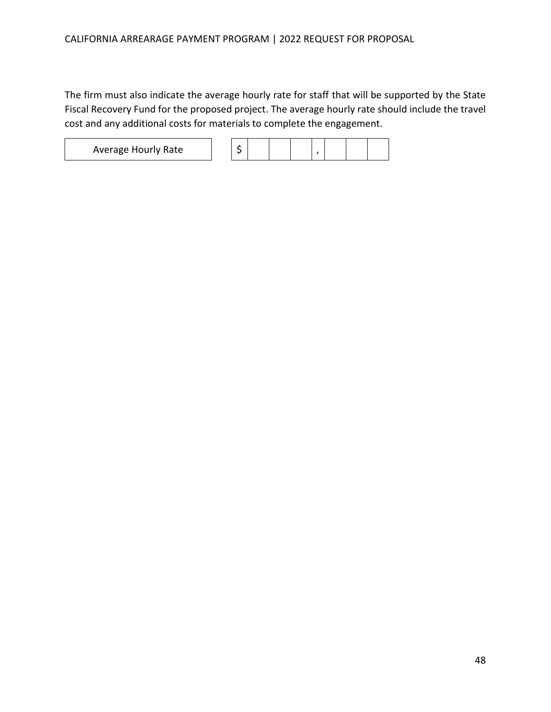The firm must also indicate the average hourly rate for staff that will be supported by the State Fiscal Recovery Fund for the proposed project. The average hourly rate should include the travel cost and any additional costs for materials to complete the engagement.

Average Hourly Rate \$ ,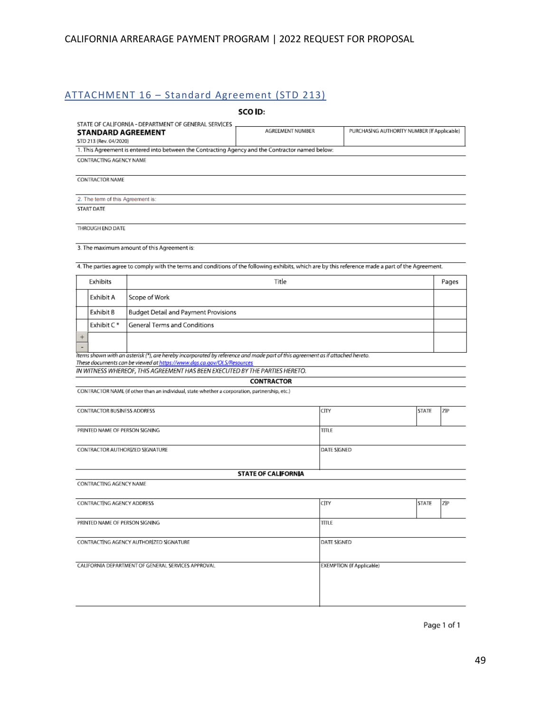## <span id="page-49-0"></span>ATTACHMENT 16 – Standard Agreement (STD 213)

|                                                                                                                                                                                                                                                                                       |  | SCO ID:                                                         |                           |       |  |  |
|---------------------------------------------------------------------------------------------------------------------------------------------------------------------------------------------------------------------------------------------------------------------------------------|--|-----------------------------------------------------------------|---------------------------|-------|--|--|
| STATE OF CALIFORNIA - DEPARTMENT OF GENERAL SERVICES<br><b>STANDARD AGREEMENT</b><br>STD 213 (Rev. 04/2020)<br>1. This Agreement is entered into between the Contracting Agency and the Contractor named below:                                                                       |  | AGREEMENT NUMBER<br>PURCHASING AUTHORITY NUMBER (If Applicable) |                           |       |  |  |
| CONTRACTING AGENCY NAME                                                                                                                                                                                                                                                               |  |                                                                 |                           |       |  |  |
| CONTRACTOR NAME                                                                                                                                                                                                                                                                       |  |                                                                 |                           |       |  |  |
|                                                                                                                                                                                                                                                                                       |  |                                                                 |                           |       |  |  |
| 2. The term of this Agreement is:<br><b>START DATE</b>                                                                                                                                                                                                                                |  |                                                                 |                           |       |  |  |
|                                                                                                                                                                                                                                                                                       |  |                                                                 |                           |       |  |  |
| THROUGH END DATE                                                                                                                                                                                                                                                                      |  |                                                                 |                           |       |  |  |
| 3. The maximum amount of this Agreement is:                                                                                                                                                                                                                                           |  |                                                                 |                           |       |  |  |
| 4. The parties agree to comply with the terms and conditions of the following exhibits, which are by this reference made a part of the Agreement.                                                                                                                                     |  |                                                                 |                           |       |  |  |
| Exhibits                                                                                                                                                                                                                                                                              |  | Title                                                           |                           | Pages |  |  |
| Exhibit A<br>Scope of Work                                                                                                                                                                                                                                                            |  |                                                                 |                           |       |  |  |
| Exhibit B<br><b>Budget Detail and Payment Provisions</b>                                                                                                                                                                                                                              |  |                                                                 |                           |       |  |  |
| Exhibit C*<br>General Terms and Conditions                                                                                                                                                                                                                                            |  |                                                                 |                           |       |  |  |
| $\ddot{}$                                                                                                                                                                                                                                                                             |  |                                                                 |                           |       |  |  |
| Items shown with an asterisk (*), are hereby incorporated by reference and made part of this agreement as if attached hereto.<br>These documents can be viewed at https://www.dqs.ca.gov/OLS/Resources<br>IN WITNESS WHEREOF, THIS AGREEMENT HAS BEEN EXECUTED BY THE PARTIES HERETO. |  |                                                                 |                           |       |  |  |
| CONTRACTOR NAME (if other than an individual, state whether a corporation, partnership, etc.)                                                                                                                                                                                         |  | <b>CONTRACTOR</b>                                               |                           |       |  |  |
|                                                                                                                                                                                                                                                                                       |  |                                                                 |                           |       |  |  |
| <b>CONTRACTOR BUSINESS ADDRESS</b>                                                                                                                                                                                                                                                    |  | CITY                                                            | <b>STATE</b>              | ZIP   |  |  |
| PRINTED NAME OF PERSON SIGNING                                                                                                                                                                                                                                                        |  | <b>TITLE</b>                                                    |                           |       |  |  |
| CONTRACTOR AUTHORIZED SIGNATURE                                                                                                                                                                                                                                                       |  |                                                                 | DATE SIGNED               |       |  |  |
|                                                                                                                                                                                                                                                                                       |  |                                                                 |                           |       |  |  |
|                                                                                                                                                                                                                                                                                       |  | <b>STATE OF CALIFORNIA</b>                                      |                           |       |  |  |
| CONTRACTING AGENCY NAME                                                                                                                                                                                                                                                               |  |                                                                 |                           |       |  |  |
| CONTRACTING AGENCY ADDRESS                                                                                                                                                                                                                                                            |  | CITY                                                            | <b>STATE</b>              | ZP    |  |  |
| PRINTED NAME OF PERSON SIGNING                                                                                                                                                                                                                                                        |  | <b>TITLE</b>                                                    |                           |       |  |  |
| CONTRACTING AGENCY AUTHORIZED SIGNATURE                                                                                                                                                                                                                                               |  |                                                                 | DATE SIGNED               |       |  |  |
|                                                                                                                                                                                                                                                                                       |  |                                                                 |                           |       |  |  |
| CALIFORNIA DEPARTMENT OF GENERAL SERVICES APPROVAL                                                                                                                                                                                                                                    |  |                                                                 | EXEMPTION (If Applicable) |       |  |  |
|                                                                                                                                                                                                                                                                                       |  |                                                                 |                           |       |  |  |
|                                                                                                                                                                                                                                                                                       |  |                                                                 |                           |       |  |  |
|                                                                                                                                                                                                                                                                                       |  |                                                                 |                           |       |  |  |

Page 1 of 1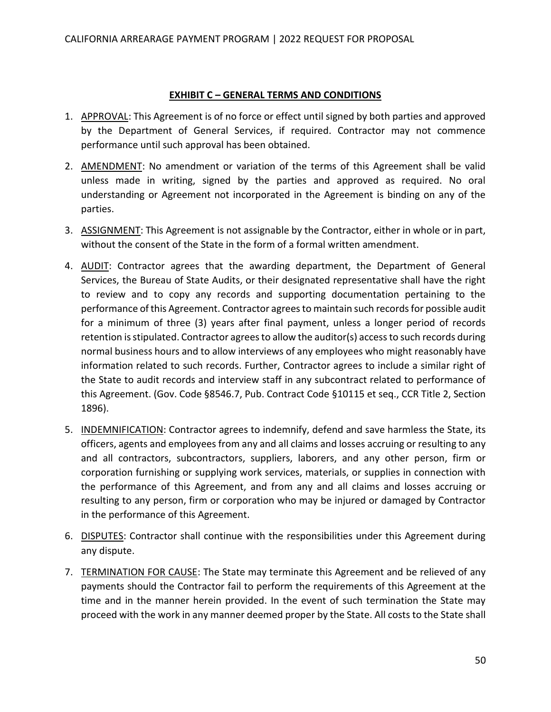#### **EXHIBIT C – GENERAL TERMS AND CONDITIONS**

- 1. APPROVAL: This Agreement is of no force or effect until signed by both parties and approved by the Department of General Services, if required. Contractor may not commence performance until such approval has been obtained.
- 2. AMENDMENT: No amendment or variation of the terms of this Agreement shall be valid unless made in writing, signed by the parties and approved as required. No oral understanding or Agreement not incorporated in the Agreement is binding on any of the parties.
- 3. ASSIGNMENT: This Agreement is not assignable by the Contractor, either in whole or in part, without the consent of the State in the form of a formal written amendment.
- 4. AUDIT: Contractor agrees that the awarding department, the Department of General Services, the Bureau of State Audits, or their designated representative shall have the right to review and to copy any records and supporting documentation pertaining to the performance of this Agreement. Contractor agrees to maintain such records for possible audit for a minimum of three (3) years after final payment, unless a longer period of records retention is stipulated. Contractor agrees to allow the auditor(s) access to such records during normal business hours and to allow interviews of any employees who might reasonably have information related to such records. Further, Contractor agrees to include a similar right of the State to audit records and interview staff in any subcontract related to performance of this Agreement. (Gov. Code §8546.7, Pub. Contract Code §10115 et seq., CCR Title 2, Section 1896).
- 5. INDEMNIFICATION: Contractor agrees to indemnify, defend and save harmless the State, its officers, agents and employees from any and all claims and losses accruing or resulting to any and all contractors, subcontractors, suppliers, laborers, and any other person, firm or corporation furnishing or supplying work services, materials, or supplies in connection with the performance of this Agreement, and from any and all claims and losses accruing or resulting to any person, firm or corporation who may be injured or damaged by Contractor in the performance of this Agreement.
- 6. DISPUTES: Contractor shall continue with the responsibilities under this Agreement during any dispute.
- 7. TERMINATION FOR CAUSE: The State may terminate this Agreement and be relieved of any payments should the Contractor fail to perform the requirements of this Agreement at the time and in the manner herein provided. In the event of such termination the State may proceed with the work in any manner deemed proper by the State. All costs to the State shall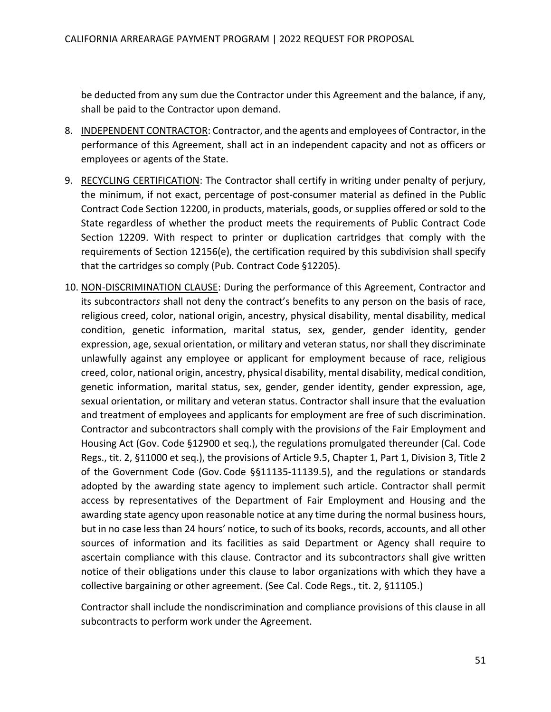be deducted from any sum due the Contractor under this Agreement and the balance, if any, shall be paid to the Contractor upon demand.

- 8. INDEPENDENT CONTRACTOR: Contractor, and the agents and employees of Contractor, in the performance of this Agreement, shall act in an independent capacity and not as officers or employees or agents of the State.
- 9. RECYCLING CERTIFICATION: The Contractor shall certify in writing under penalty of perjury, the minimum, if not exact, percentage of post-consumer material as defined in the Public Contract Code Section 12200, in products, materials, goods, or supplies offered or sold to the State regardless of whether the product meets the requirements of Public Contract Code Section 12209. With respect to printer or duplication cartridges that comply with the requirements of Section 12156(e), the certification required by this subdivision shall specify that the cartridges so comply (Pub. Contract Code §12205).
- 10. NON-DISCRIMINATION CLAUSE: During the performance of this Agreement, Contractor and its subcontractor*s* shall not deny the contract's benefits to any person on the basis of race, religious creed, color, national origin, ancestry, physical disability, mental disability, medical condition, genetic information, marital status, sex, gender, gender identity, gender expression, age, sexual orientation, or military and veteran status, nor shall they discriminate unlawfully against any employee or applicant for employment because of race, religious creed, color, national origin, ancestry, physical disability, mental disability, medical condition, genetic information, marital status, sex, gender, gender identity, gender expression, age, sexual orientation, or military and veteran status. Contractor shall insure that the evaluation and treatment of employees and applicants for employment are free of such discrimination. Contractor and subcontractors shall comply with the provision*s* of the Fair Employment and Housing Act (Gov. Code §12900 et seq.), the regulations promulgated thereunder (Cal. Code Regs., tit. 2, §11000 et seq.), the provisions of Article 9.5, Chapter 1, Part 1, Division 3, Title 2 of the Government Code (Gov. Code §§11135-11139.5), and the regulations or standards adopted by the awarding state agency to implement such article. Contractor shall permit access by representatives of the Department of Fair Employment and Housing and the awarding state agency upon reasonable notice at any time during the normal business hours, but in no case less than 24 hours' notice, to such of its books, records, accounts, and all other sources of information and its facilities as said Department or Agency shall require to ascertain compliance with this clause. Contractor and its subcontractor*s* shall give written notice of their obligations under this clause to labor organizations with which they have a collective bargaining or other agreement. (See Cal. Code Regs., tit. 2, §11105.)

Contractor shall include the nondiscrimination and compliance provisions of this clause in all subcontracts to perform work under the Agreement.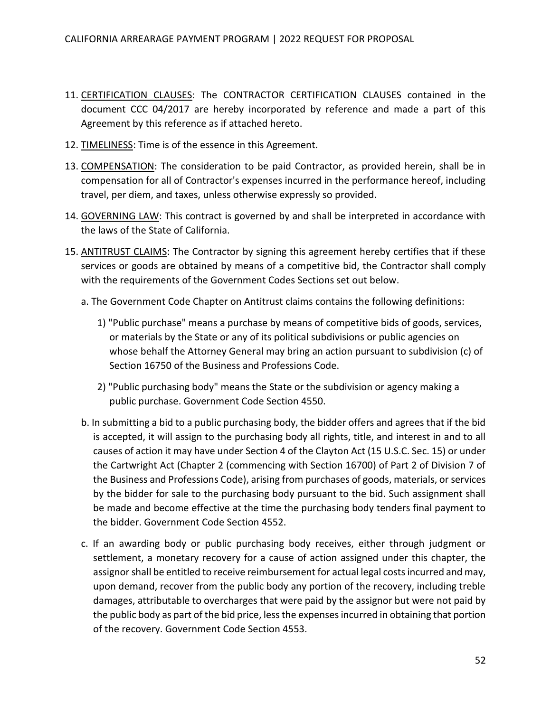- 11. CERTIFICATION CLAUSES: The CONTRACTOR CERTIFICATION CLAUSES contained in the document CCC 04/2017 are hereby incorporated by reference and made a part of this Agreement by this reference as if attached hereto.
- 12. TIMELINESS: Time is of the essence in this Agreement.
- 13. COMPENSATION: The consideration to be paid Contractor, as provided herein, shall be in compensation for all of Contractor's expenses incurred in the performance hereof, including travel, per diem, and taxes, unless otherwise expressly so provided.
- 14. GOVERNING LAW: This contract is governed by and shall be interpreted in accordance with the laws of the State of California.
- 15. ANTITRUST CLAIMS: The Contractor by signing this agreement hereby certifies that if these services or goods are obtained by means of a competitive bid, the Contractor shall comply with the requirements of the Government Codes Sections set out below.
	- a. The Government Code Chapter on Antitrust claims contains the following definitions:
		- 1) "Public purchase" means a purchase by means of competitive bids of goods, services, or materials by the State or any of its political subdivisions or public agencies on whose behalf the Attorney General may bring an action pursuant to subdivision (c) of Section 16750 of the Business and Professions Code.
		- 2) "Public purchasing body" means the State or the subdivision or agency making a public purchase. Government Code Section 4550.
	- b. In submitting a bid to a public purchasing body, the bidder offers and agrees that if the bid is accepted, it will assign to the purchasing body all rights, title, and interest in and to all causes of action it may have under Section 4 of the Clayton Act (15 U.S.C. Sec. 15) or under the Cartwright Act (Chapter 2 (commencing with Section 16700) of Part 2 of Division 7 of the Business and Professions Code), arising from purchases of goods, materials, or services by the bidder for sale to the purchasing body pursuant to the bid. Such assignment shall be made and become effective at the time the purchasing body tenders final payment to the bidder. Government Code Section 4552.
	- c. If an awarding body or public purchasing body receives, either through judgment or settlement, a monetary recovery for a cause of action assigned under this chapter, the assignor shall be entitled to receive reimbursement for actual legal costs incurred and may, upon demand, recover from the public body any portion of the recovery, including treble damages, attributable to overcharges that were paid by the assignor but were not paid by the public body as part of the bid price, less the expenses incurred in obtaining that portion of the recovery. Government Code Section 4553.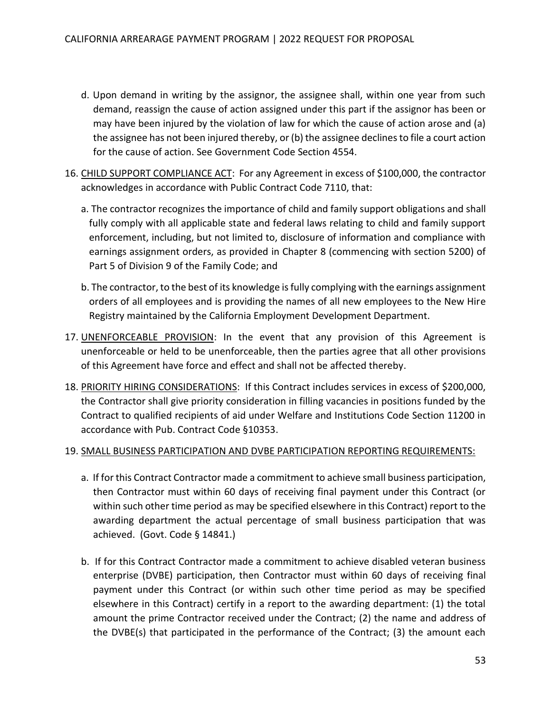- d. Upon demand in writing by the assignor, the assignee shall, within one year from such demand, reassign the cause of action assigned under this part if the assignor has been or may have been injured by the violation of law for which the cause of action arose and (a) the assignee has not been injured thereby, or (b) the assignee declines to file a court action for the cause of action. See Government Code Section 4554.
- 16. CHILD SUPPORT COMPLIANCE ACT: For any Agreement in excess of \$100,000, the contractor acknowledges in accordance with Public Contract Code 7110, that:
	- a. The contractor recognizes the importance of child and family support obligations and shall fully comply with all applicable state and federal laws relating to child and family support enforcement, including, but not limited to, disclosure of information and compliance with earnings assignment orders, as provided in Chapter 8 (commencing with section 5200) of Part 5 of Division 9 of the Family Code; and
	- b. The contractor, to the best of its knowledge is fully complying with the earnings assignment orders of all employees and is providing the names of all new employees to the New Hire Registry maintained by the California Employment Development Department.
- 17. UNENFORCEABLE PROVISION: In the event that any provision of this Agreement is unenforceable or held to be unenforceable, then the parties agree that all other provisions of this Agreement have force and effect and shall not be affected thereby.
- 18. PRIORITY HIRING CONSIDERATIONS: If this Contract includes services in excess of \$200,000, the Contractor shall give priority consideration in filling vacancies in positions funded by the Contract to qualified recipients of aid under Welfare and Institutions Code Section 11200 in accordance with Pub. Contract Code §10353.

#### 19. SMALL BUSINESS PARTICIPATION AND DVBE PARTICIPATION REPORTING REQUIREMENTS:

- a. If for this Contract Contractor made a commitment to achieve small business participation, then Contractor must within 60 days of receiving final payment under this Contract (or within such other time period as may be specified elsewhere in this Contract) report to the awarding department the actual percentage of small business participation that was achieved. (Govt. Code § 14841.)
- b. If for this Contract Contractor made a commitment to achieve disabled veteran business enterprise (DVBE) participation, then Contractor must within 60 days of receiving final payment under this Contract (or within such other time period as may be specified elsewhere in this Contract) certify in a report to the awarding department: (1) the total amount the prime Contractor received under the Contract; (2) the name and address of the DVBE(s) that participated in the performance of the Contract; (3) the amount each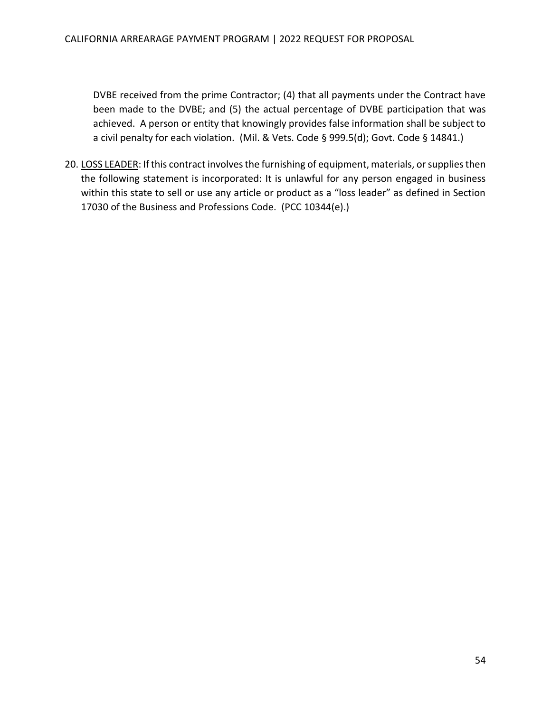DVBE received from the prime Contractor; (4) that all payments under the Contract have been made to the DVBE; and (5) the actual percentage of DVBE participation that was achieved. A person or entity that knowingly provides false information shall be subject to a civil penalty for each violation. (Mil. & Vets. Code § 999.5(d); Govt. Code § 14841.)

20. LOSS LEADER: If this contract involves the furnishing of equipment, materials, or supplies then the following statement is incorporated: It is unlawful for any person engaged in business within this state to sell or use any article or product as a "loss leader" as defined in Section 17030 of the Business and Professions Code. (PCC 10344(e).)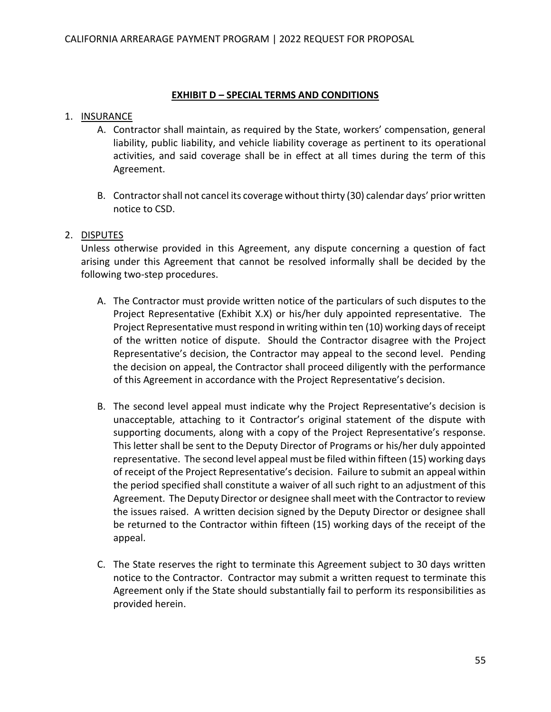#### **EXHIBIT D** *–* **SPECIAL TERMS AND CONDITIONS**

#### 1. INSURANCE

- A. Contractor shall maintain, as required by the State, workers' compensation, general liability, public liability, and vehicle liability coverage as pertinent to its operational activities, and said coverage shall be in effect at all times during the term of this Agreement.
- B. Contractor shall not cancel its coverage without thirty (30) calendar days' prior written notice to CSD.

#### 2. DISPUTES

Unless otherwise provided in this Agreement, any dispute concerning a question of fact arising under this Agreement that cannot be resolved informally shall be decided by the following two-step procedures.

- A. The Contractor must provide written notice of the particulars of such disputes to the Project Representative (Exhibit X.X) or his/her duly appointed representative. The Project Representative must respond in writing within ten (10) working days of receipt of the written notice of dispute. Should the Contractor disagree with the Project Representative's decision, the Contractor may appeal to the second level. Pending the decision on appeal, the Contractor shall proceed diligently with the performance of this Agreement in accordance with the Project Representative's decision.
- B. The second level appeal must indicate why the Project Representative's decision is unacceptable, attaching to it Contractor's original statement of the dispute with supporting documents, along with a copy of the Project Representative's response. This letter shall be sent to the Deputy Director of Programs or his/her duly appointed representative. The second level appeal must be filed within fifteen (15) working days of receipt of the Project Representative's decision. Failure to submit an appeal within the period specified shall constitute a waiver of all such right to an adjustment of this Agreement. The Deputy Director or designee shall meet with the Contractor to review the issues raised. A written decision signed by the Deputy Director or designee shall be returned to the Contractor within fifteen (15) working days of the receipt of the appeal.
- C. The State reserves the right to terminate this Agreement subject to 30 days written notice to the Contractor. Contractor may submit a written request to terminate this Agreement only if the State should substantially fail to perform its responsibilities as provided herein.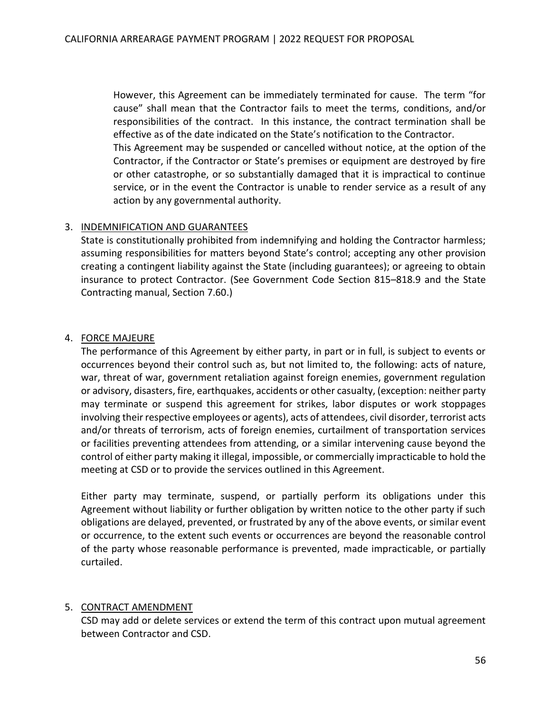However, this Agreement can be immediately terminated for cause. The term "for cause" shall mean that the Contractor fails to meet the terms, conditions, and/or responsibilities of the contract. In this instance, the contract termination shall be effective as of the date indicated on the State's notification to the Contractor.

This Agreement may be suspended or cancelled without notice, at the option of the Contractor, if the Contractor or State's premises or equipment are destroyed by fire or other catastrophe, or so substantially damaged that it is impractical to continue service, or in the event the Contractor is unable to render service as a result of any action by any governmental authority.

#### 3. INDEMNIFICATION AND GUARANTEES

State is constitutionally prohibited from indemnifying and holding the Contractor harmless; assuming responsibilities for matters beyond State's control; accepting any other provision creating a contingent liability against the State (including guarantees); or agreeing to obtain insurance to protect Contractor. (See Government Code Section 815–818.9 and the State Contracting manual, Section 7.60.)

#### 4. FORCE MAJEURE

The performance of this Agreement by either party, in part or in full, is subject to events or occurrences beyond their control such as, but not limited to, the following: acts of nature, war, threat of war, government retaliation against foreign enemies, government regulation or advisory, disasters, fire, earthquakes, accidents or other casualty, (exception: neither party may terminate or suspend this agreement for strikes, labor disputes or work stoppages involving their respective employees or agents), acts of attendees, civil disorder, terrorist acts and/or threats of terrorism, acts of foreign enemies, curtailment of transportation services or facilities preventing attendees from attending, or a similar intervening cause beyond the control of either party making it illegal, impossible, or commercially impracticable to hold the meeting at CSD or to provide the services outlined in this Agreement.

Either party may terminate, suspend, or partially perform its obligations under this Agreement without liability or further obligation by written notice to the other party if such obligations are delayed, prevented, or frustrated by any of the above events, or similar event or occurrence, to the extent such events or occurrences are beyond the reasonable control of the party whose reasonable performance is prevented, made impracticable, or partially curtailed.

#### 5. CONTRACT AMENDMENT

CSD may add or delete services or extend the term of this contract upon mutual agreement between Contractor and CSD.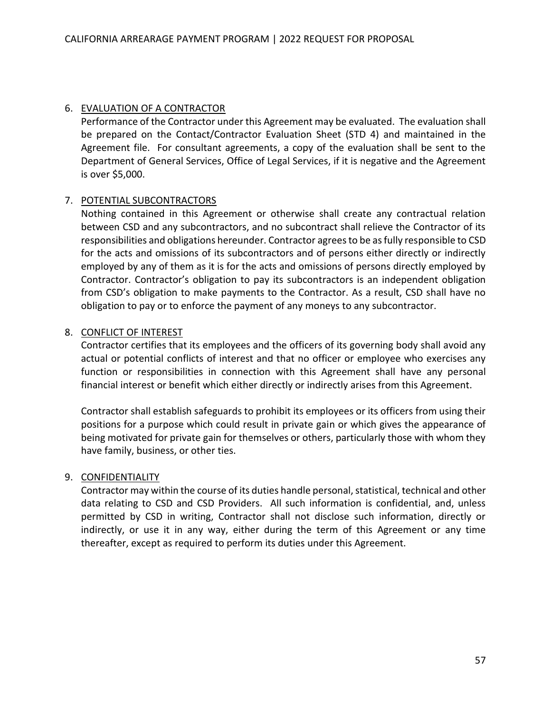#### 6. EVALUATION OF A CONTRACTOR

Performance of the Contractor under this Agreement may be evaluated. The evaluation shall be prepared on the Contact/Contractor Evaluation Sheet (STD 4) and maintained in the Agreement file. For consultant agreements, a copy of the evaluation shall be sent to the Department of General Services, Office of Legal Services, if it is negative and the Agreement is over \$5,000.

#### 7. POTENTIAL SUBCONTRACTORS

Nothing contained in this Agreement or otherwise shall create any contractual relation between CSD and any subcontractors, and no subcontract shall relieve the Contractor of its responsibilities and obligations hereunder. Contractor agrees to be as fully responsible to CSD for the acts and omissions of its subcontractors and of persons either directly or indirectly employed by any of them as it is for the acts and omissions of persons directly employed by Contractor. Contractor's obligation to pay its subcontractors is an independent obligation from CSD's obligation to make payments to the Contractor. As a result, CSD shall have no obligation to pay or to enforce the payment of any moneys to any subcontractor.

#### 8. CONFLICT OF INTEREST

Contractor certifies that its employees and the officers of its governing body shall avoid any actual or potential conflicts of interest and that no officer or employee who exercises any function or responsibilities in connection with this Agreement shall have any personal financial interest or benefit which either directly or indirectly arises from this Agreement.

Contractor shall establish safeguards to prohibit its employees or its officers from using their positions for a purpose which could result in private gain or which gives the appearance of being motivated for private gain for themselves or others, particularly those with whom they have family, business, or other ties.

#### 9. CONFIDENTIALITY

Contractor may within the course of its duties handle personal, statistical, technical and other data relating to CSD and CSD Providers. All such information is confidential, and, unless permitted by CSD in writing, Contractor shall not disclose such information, directly or indirectly, or use it in any way, either during the term of this Agreement or any time thereafter, except as required to perform its duties under this Agreement.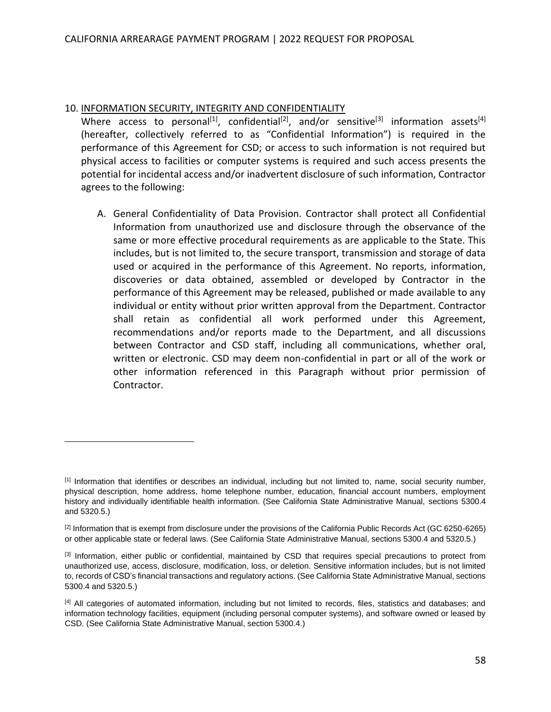#### 10. INFORMATION SECURITY, INTEGRITY AND CONFIDENTIALITY

Where access to personal<sup>[1]</sup>, confidential<sup>[2]</sup>, and/or sensitive<sup>[3]</sup> information assets<sup>[4]</sup> (hereafter, collectively referred to as "Confidential Information") is required in the performance of this Agreement for CSD; or access to such information is not required but physical access to facilities or computer systems is required and such access presents the potential for incidental access and/or inadvertent disclosure of such information, Contractor agrees to the following:

A. General Confidentiality of Data Provision. Contractor shall protect all Confidential Information from unauthorized use and disclosure through the observance of the same or more effective procedural requirements as are applicable to the State. This includes, but is not limited to, the secure transport, transmission and storage of data used or acquired in the performance of this Agreement. No reports, information, discoveries or data obtained, assembled or developed by Contractor in the performance of this Agreement may be released, published or made available to any individual or entity without prior written approval from the Department. Contractor shall retain as confidential all work performed under this Agreement, recommendations and/or reports made to the Department, and all discussions between Contractor and CSD staff, including all communications, whether oral, written or electronic. CSD may deem non-confidential in part or all of the work or other information referenced in this Paragraph without prior permission of Contractor.

 $[1]$  Information that identifies or describes an individual, including but not limited to, name, social security number, physical description, home address, home telephone number, education, financial account numbers, employment history and individually identifiable health information. (See California State Administrative Manual, sections 5300.4 and 5320.5.)

<sup>&</sup>lt;sup>[2]</sup> Information that is exempt from disclosure under the provisions of the California Public Records Act (GC 6250-6265) or other applicable state or federal laws. (See California State Administrative Manual, sections 5300.4 and 5320.5.)

<sup>&</sup>lt;sup>[3]</sup> Information, either public or confidential, maintained by CSD that requires special precautions to protect from unauthorized use, access, disclosure, modification, loss, or deletion. Sensitive information includes, but is not limited to, records of CSD's financial transactions and regulatory actions. (See California State Administrative Manual, sections 5300.4 and 5320.5.)

<sup>[4]</sup> All categories of automated information, including but not limited to records, files, statistics and databases; and information technology facilities, equipment (including personal computer systems), and software owned or leased by CSD. (See California State Administrative Manual, section 5300.4.)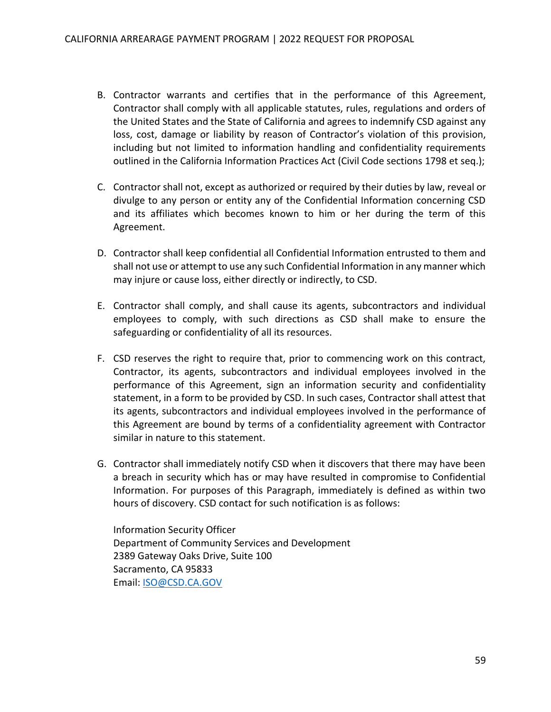- B. Contractor warrants and certifies that in the performance of this Agreement, Contractor shall comply with all applicable statutes, rules, regulations and orders of the United States and the State of California and agrees to indemnify CSD against any loss, cost, damage or liability by reason of Contractor's violation of this provision, including but not limited to information handling and confidentiality requirements outlined in the California Information Practices Act (Civil Code sections 1798 et seq.);
- C. Contractor shall not, except as authorized or required by their duties by law, reveal or divulge to any person or entity any of the Confidential Information concerning CSD and its affiliates which becomes known to him or her during the term of this Agreement.
- D. Contractor shall keep confidential all Confidential Information entrusted to them and shall not use or attempt to use any such Confidential Information in any manner which may injure or cause loss, either directly or indirectly, to CSD.
- E. Contractor shall comply, and shall cause its agents, subcontractors and individual employees to comply, with such directions as CSD shall make to ensure the safeguarding or confidentiality of all its resources.
- F. CSD reserves the right to require that, prior to commencing work on this contract, Contractor, its agents, subcontractors and individual employees involved in the performance of this Agreement, sign an information security and confidentiality statement, in a form to be provided by CSD. In such cases, Contractor shall attest that its agents, subcontractors and individual employees involved in the performance of this Agreement are bound by terms of a confidentiality agreement with Contractor similar in nature to this statement.
- G. Contractor shall immediately notify CSD when it discovers that there may have been a breach in security which has or may have resulted in compromise to Confidential Information. For purposes of this Paragraph, immediately is defined as within two hours of discovery. CSD contact for such notification is as follows:

Information Security Officer Department of Community Services and Development 2389 Gateway Oaks Drive, Suite 100 Sacramento, CA 95833 Email: [ISO@CSD.CA.GOV](mailto:ISO@CSD.CA.GOV)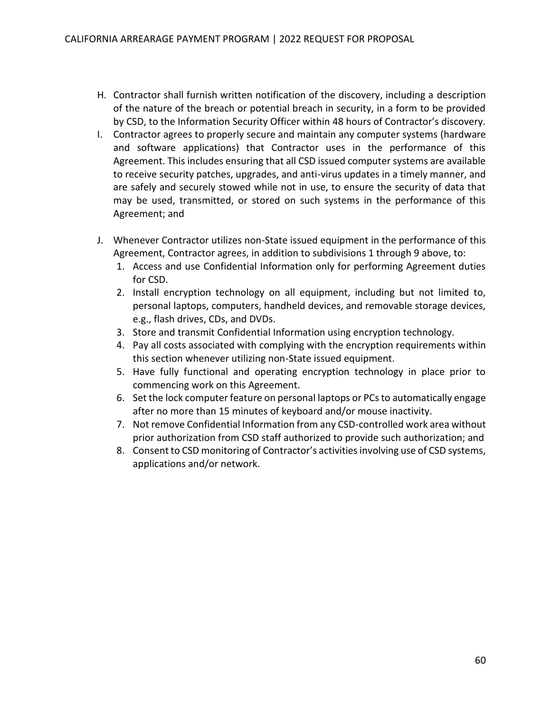- H. Contractor shall furnish written notification of the discovery, including a description of the nature of the breach or potential breach in security, in a form to be provided by CSD, to the Information Security Officer within 48 hours of Contractor's discovery.
- I. Contractor agrees to properly secure and maintain any computer systems (hardware and software applications) that Contractor uses in the performance of this Agreement. This includes ensuring that all CSD issued computer systems are available to receive security patches, upgrades, and anti-virus updates in a timely manner, and are safely and securely stowed while not in use, to ensure the security of data that may be used, transmitted, or stored on such systems in the performance of this Agreement; and
- J. Whenever Contractor utilizes non-State issued equipment in the performance of this Agreement, Contractor agrees, in addition to subdivisions 1 through 9 above, to:
	- 1. Access and use Confidential Information only for performing Agreement duties for CSD.
	- 2. Install encryption technology on all equipment, including but not limited to, personal laptops, computers, handheld devices, and removable storage devices, e.g., flash drives, CDs, and DVDs.
	- 3. Store and transmit Confidential Information using encryption technology.
	- 4. Pay all costs associated with complying with the encryption requirements within this section whenever utilizing non-State issued equipment.
	- 5. Have fully functional and operating encryption technology in place prior to commencing work on this Agreement.
	- 6. Set the lock computer feature on personal laptops or PCs to automatically engage after no more than 15 minutes of keyboard and/or mouse inactivity.
	- 7. Not remove Confidential Information from any CSD-controlled work area without prior authorization from CSD staff authorized to provide such authorization; and
	- 8. Consent to CSD monitoring of Contractor's activities involving use of CSD systems, applications and/or network.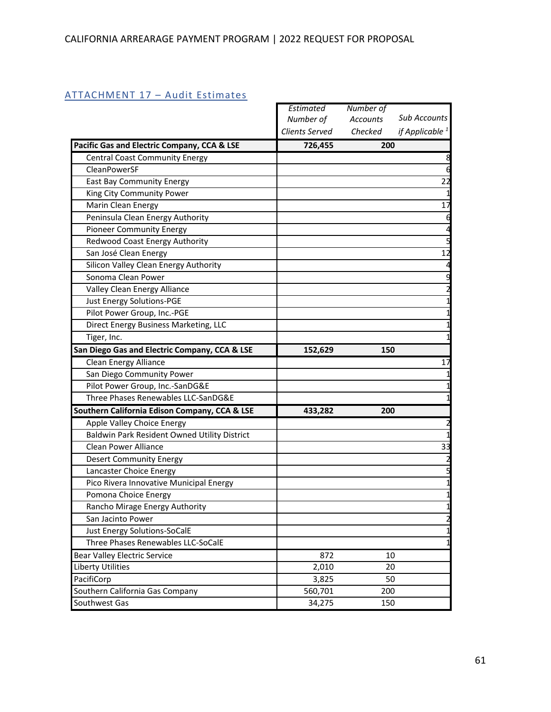|                                               | Estimated      | Number of       |                     |
|-----------------------------------------------|----------------|-----------------|---------------------|
|                                               | Number of      | <b>Accounts</b> | <b>Sub Accounts</b> |
|                                               | Clients Served | Checked         | if Applicable $1$   |
| Pacific Gas and Electric Company, CCA & LSE   | 726,455        | 200             |                     |
| <b>Central Coast Community Energy</b>         |                |                 | 8                   |
| CleanPowerSF                                  |                |                 |                     |
| East Bay Community Energy                     |                |                 | 22                  |
| King City Community Power                     |                |                 |                     |
| Marin Clean Energy                            |                |                 | 17                  |
| Peninsula Clean Energy Authority              |                |                 |                     |
| <b>Pioneer Community Energy</b>               |                |                 | 4                   |
| Redwood Coast Energy Authority                |                |                 | 5                   |
| San José Clean Energy                         |                |                 | 12                  |
| Silicon Valley Clean Energy Authority         |                |                 |                     |
| Sonoma Clean Power                            |                |                 |                     |
| Valley Clean Energy Alliance                  |                |                 |                     |
| Just Energy Solutions-PGE                     |                |                 |                     |
| Pilot Power Group, Inc.-PGE                   |                |                 | 1                   |
| Direct Energy Business Marketing, LLC         |                |                 |                     |
| Tiger, Inc.                                   |                |                 | 1                   |
| San Diego Gas and Electric Company, CCA & LSE | 152,629        | 150             |                     |
| Clean Energy Alliance                         |                |                 | 17                  |
| San Diego Community Power                     |                |                 |                     |
| Pilot Power Group, Inc.-SanDG&E               |                |                 |                     |
| Three Phases Renewables LLC-SanDG&E           |                |                 |                     |
| Southern California Edison Company, CCA & LSE | 433,282        | 200             |                     |
| Apple Valley Choice Energy                    |                |                 |                     |
| Baldwin Park Resident Owned Utility District  |                |                 |                     |
| <b>Clean Power Alliance</b>                   |                |                 | 33                  |
| <b>Desert Community Energy</b>                |                |                 |                     |
| Lancaster Choice Energy                       |                |                 |                     |
| Pico Rivera Innovative Municipal Energy       |                |                 | 1                   |
| Pomona Choice Energy                          |                |                 |                     |
| Rancho Mirage Energy Authority                |                |                 |                     |
| San Jacinto Power                             |                |                 | $\overline{c}$      |
| Just Energy Solutions-SoCalE                  |                |                 |                     |
| Three Phases Renewables LLC-SoCalE            |                |                 | 1                   |
| <b>Bear Valley Electric Service</b>           | 872            | 10              |                     |
| Liberty Utilities                             | 2,010          | 20              |                     |
| PacifiCorp                                    | 3,825          | 50              |                     |
| Southern California Gas Company               | 560,701        | 200             |                     |
| Southwest Gas                                 | 34,275         | 150             |                     |

## <span id="page-61-0"></span>ATTACHMENT 17 – Audit Estimates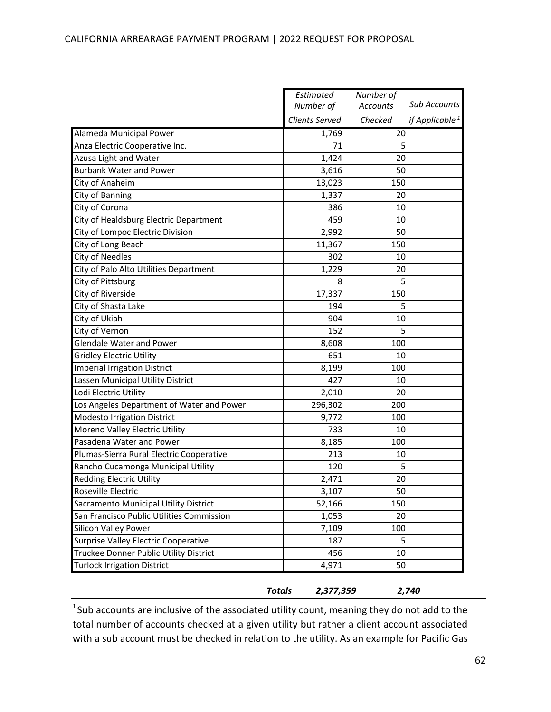#### CALIFORNIA ARREARAGE PAYMENT PROGRAM | 2022 REQUEST FOR PROPOSAL

|                                             | <b>Totals</b><br>2,377,359 |                 | 2,740             |
|---------------------------------------------|----------------------------|-----------------|-------------------|
|                                             |                            |                 |                   |
| <b>Turlock Irrigation District</b>          | 4,971                      | 50              |                   |
| Truckee Donner Public Utility District      | 456                        | 10              |                   |
| <b>Surprise Valley Electric Cooperative</b> | 187                        | 5               |                   |
| <b>Silicon Valley Power</b>                 | 7,109                      | 100             |                   |
| San Francisco Public Utilities Commission   | 1,053                      | 20              |                   |
| Sacramento Municipal Utility District       | 52,166                     | 150             |                   |
| Roseville Electric                          | 3,107                      | 50              |                   |
| <b>Redding Electric Utility</b>             | 2,471                      | 20              |                   |
| Rancho Cucamonga Municipal Utility          | 120                        | 5               |                   |
| Plumas-Sierra Rural Electric Cooperative    | 213                        | 10              |                   |
| Pasadena Water and Power                    | 8,185                      | 100             |                   |
| Moreno Valley Electric Utility              | 733                        | 10              |                   |
| Modesto Irrigation District                 | 9,772                      | 100             |                   |
| Los Angeles Department of Water and Power   | 296,302                    | 200             |                   |
| Lodi Electric Utility                       | 2,010                      | 20              |                   |
| Lassen Municipal Utility District           | 427                        | 10              |                   |
| <b>Imperial Irrigation District</b>         | 8,199                      | 100             |                   |
| <b>Gridley Electric Utility</b>             | 651                        | 10              |                   |
| <b>Glendale Water and Power</b>             | 8,608                      | 100             |                   |
| City of Vernon                              | 152                        | 5               |                   |
| City of Ukiah                               | 904                        | 10              |                   |
| City of Shasta Lake                         | 194                        | 5               |                   |
| City of Riverside                           | 17,337                     | 150             |                   |
| City of Pittsburg                           | 8                          | 5               |                   |
| City of Palo Alto Utilities Department      | 1,229                      | 20              |                   |
| <b>City of Needles</b>                      | 302                        | 10              |                   |
| City of Long Beach                          | 11,367                     | 150             |                   |
| City of Lompoc Electric Division            | 2,992                      | 50              |                   |
| City of Healdsburg Electric Department      | 459                        | 10              |                   |
| City of Corona                              | 386                        | 10              |                   |
| City of Banning                             | 1,337                      | 20              |                   |
| City of Anaheim                             | 13,023                     | 150             |                   |
| <b>Burbank Water and Power</b>              | 3,616                      | 50              |                   |
| Azusa Light and Water                       | 1,424                      | 20              |                   |
| Anza Electric Cooperative Inc.              | 71                         | 5               |                   |
| Alameda Municipal Power                     | 1,769                      | 20              |                   |
|                                             | <b>Clients Served</b>      | Checked         | if Applicable $1$ |
|                                             | Number of                  | <b>Accounts</b> | Sub Accounts      |
|                                             | Estimated                  | Number of       |                   |

 $1$ Sub accounts are inclusive of the associated utility count, meaning they do not add to the total number of accounts checked at a given utility but rather a client account associated with a sub account must be checked in relation to the utility. As an example for Pacific Gas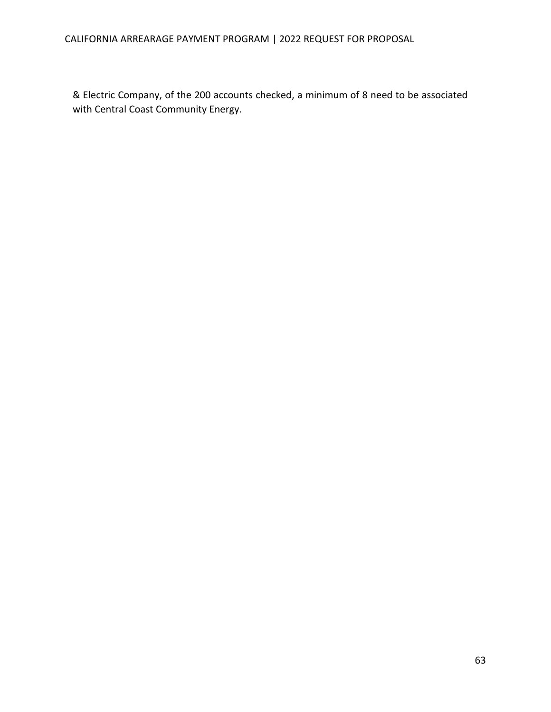### CALIFORNIA ARREARAGE PAYMENT PROGRAM | 2022 REQUEST FOR PROPOSAL

& Electric Company, of the 200 accounts checked, a minimum of 8 need to be associated with Central Coast Community Energy.